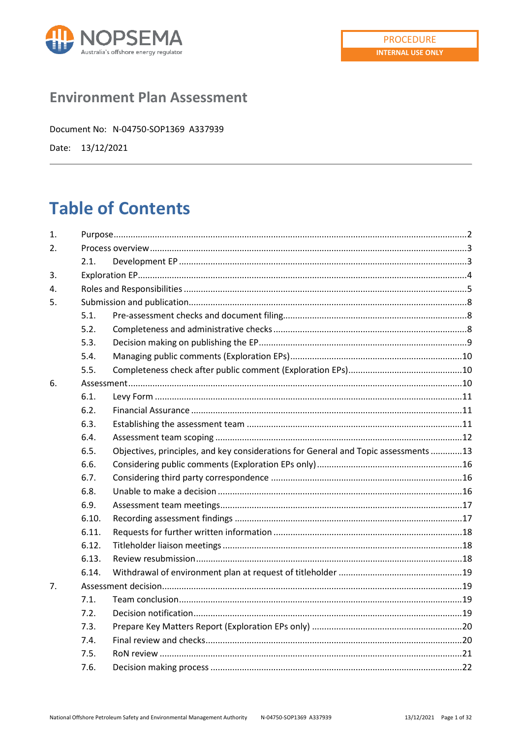

# **Environment Plan Assessment**

Document No: N-04750-SOP1369 A337939

Date: 13/12/2021

# **Table of Contents**

| 1.               |       |                                                                                     |  |  |
|------------------|-------|-------------------------------------------------------------------------------------|--|--|
| $\overline{2}$ . |       |                                                                                     |  |  |
|                  | 2.1.  |                                                                                     |  |  |
| 3.               |       |                                                                                     |  |  |
| 4.               |       |                                                                                     |  |  |
| 5.               |       |                                                                                     |  |  |
|                  | 5.1.  |                                                                                     |  |  |
|                  | 5.2.  |                                                                                     |  |  |
|                  | 5.3.  |                                                                                     |  |  |
|                  | 5.4.  |                                                                                     |  |  |
|                  | 5.5.  |                                                                                     |  |  |
| 6.               |       |                                                                                     |  |  |
|                  | 6.1.  |                                                                                     |  |  |
|                  | 6.2.  |                                                                                     |  |  |
|                  | 6.3.  |                                                                                     |  |  |
|                  | 6.4.  |                                                                                     |  |  |
|                  | 6.5.  | Objectives, principles, and key considerations for General and Topic assessments 13 |  |  |
|                  | 6.6.  |                                                                                     |  |  |
|                  | 6.7.  |                                                                                     |  |  |
|                  | 6.8.  |                                                                                     |  |  |
|                  | 6.9.  |                                                                                     |  |  |
|                  | 6.10. |                                                                                     |  |  |
|                  | 6.11. |                                                                                     |  |  |
|                  | 6.12. |                                                                                     |  |  |
|                  | 6.13. |                                                                                     |  |  |
|                  | 6.14. |                                                                                     |  |  |
| 7.               |       |                                                                                     |  |  |
|                  | 7.1.  |                                                                                     |  |  |
|                  | 7.2.  |                                                                                     |  |  |
|                  | 7.3.  |                                                                                     |  |  |
|                  | 7.4.  |                                                                                     |  |  |
|                  | 7.5.  |                                                                                     |  |  |
|                  | 7.6.  |                                                                                     |  |  |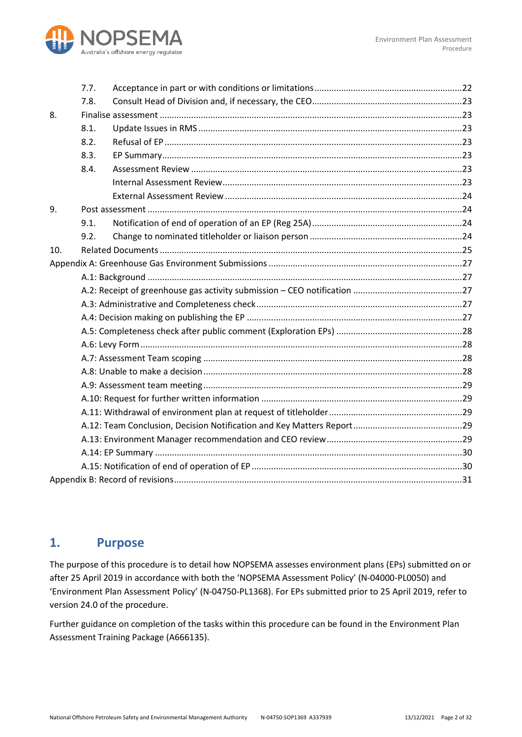

|     | 7.7. |  |  |
|-----|------|--|--|
|     | 7.8. |  |  |
| 8.  |      |  |  |
|     | 8.1. |  |  |
|     | 8.2. |  |  |
|     | 8.3. |  |  |
|     | 8.4. |  |  |
|     |      |  |  |
|     |      |  |  |
| 9.  |      |  |  |
|     | 9.1. |  |  |
|     | 9.2. |  |  |
| 10. |      |  |  |
|     |      |  |  |
|     |      |  |  |
|     |      |  |  |
|     |      |  |  |
|     |      |  |  |
|     |      |  |  |
|     |      |  |  |
|     |      |  |  |
|     |      |  |  |
|     |      |  |  |
|     |      |  |  |
|     |      |  |  |
|     |      |  |  |
|     |      |  |  |
|     |      |  |  |
|     |      |  |  |
|     |      |  |  |

### <span id="page-1-0"></span>**1. Purpose**

The purpose of this procedure is to detail how NOPSEMA assesses environment plans (EPs) submitted on or after 25 April 2019 in accordance with both the 'NOPSEMA Assessment Policy' (N-04000-PL0050) and 'Environment Plan Assessment Policy' (N-04750-PL1368). For EPs submitted prior to 25 April 2019, refer to version 24.0 of the procedure.

Further guidance on completion of the tasks within this procedure can be found in the Environment Plan Assessment Training Package (A666135).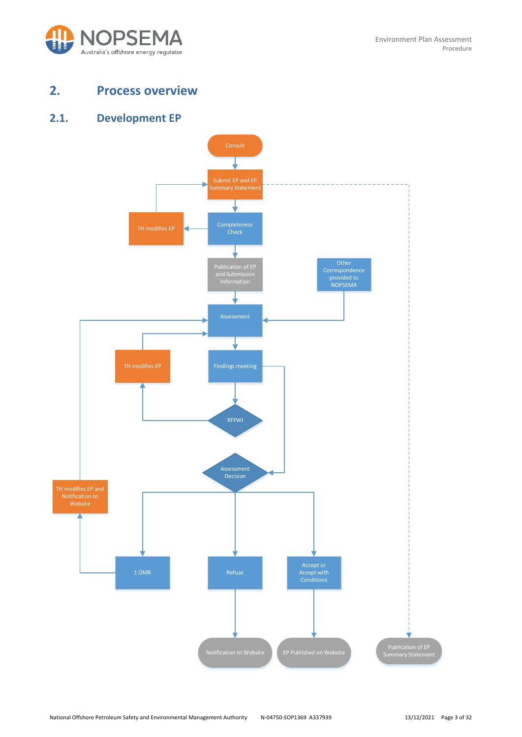

# <span id="page-2-0"></span>**2. Process overview**

### <span id="page-2-1"></span>**2.1. Development EP**

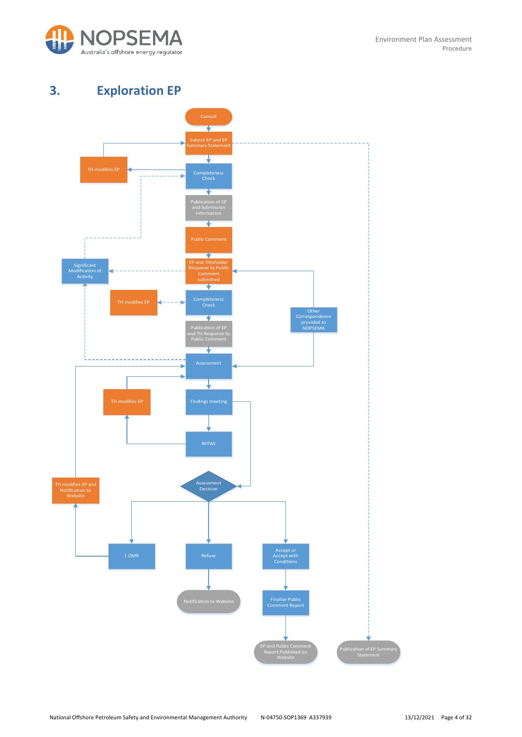

# <span id="page-3-0"></span>**3. Exploration EP**

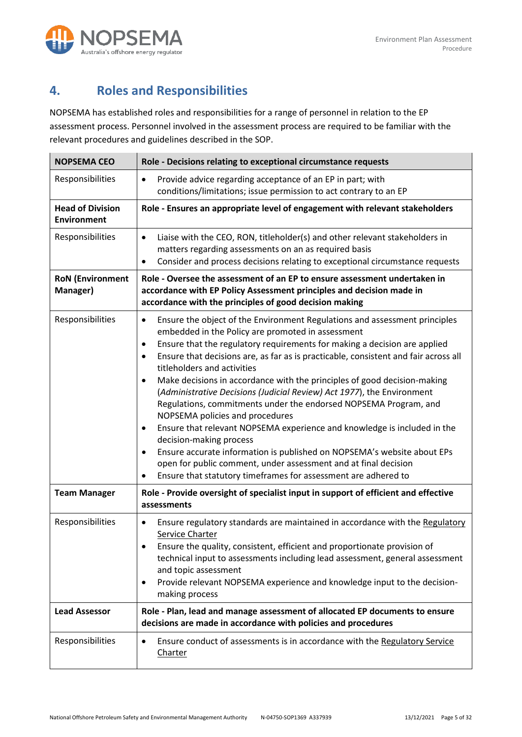

# <span id="page-4-0"></span>**4. Roles and Responsibilities**

NOPSEMA has established roles and responsibilities for a range of personnel in relation to the EP assessment process. Personnel involved in the assessment process are required to be familiar with the relevant procedures and guidelines described in the SOP.

| <b>NOPSEMA CEO</b>                            | Role - Decisions relating to exceptional circumstance requests                                                                                                                                                                                                                                                                                                                                                                                                                                                                                                                                                                                                                                                                                                                                                                                                                                                                                   |  |  |
|-----------------------------------------------|--------------------------------------------------------------------------------------------------------------------------------------------------------------------------------------------------------------------------------------------------------------------------------------------------------------------------------------------------------------------------------------------------------------------------------------------------------------------------------------------------------------------------------------------------------------------------------------------------------------------------------------------------------------------------------------------------------------------------------------------------------------------------------------------------------------------------------------------------------------------------------------------------------------------------------------------------|--|--|
| Responsibilities                              | Provide advice regarding acceptance of an EP in part; with<br>$\bullet$<br>conditions/limitations; issue permission to act contrary to an EP                                                                                                                                                                                                                                                                                                                                                                                                                                                                                                                                                                                                                                                                                                                                                                                                     |  |  |
| <b>Head of Division</b><br><b>Environment</b> | Role - Ensures an appropriate level of engagement with relevant stakeholders                                                                                                                                                                                                                                                                                                                                                                                                                                                                                                                                                                                                                                                                                                                                                                                                                                                                     |  |  |
| Responsibilities                              | Liaise with the CEO, RON, titleholder(s) and other relevant stakeholders in<br>$\bullet$<br>matters regarding assessments on an as required basis<br>Consider and process decisions relating to exceptional circumstance requests                                                                                                                                                                                                                                                                                                                                                                                                                                                                                                                                                                                                                                                                                                                |  |  |
| <b>RoN</b> (Environment<br>Manager)           | Role - Oversee the assessment of an EP to ensure assessment undertaken in<br>accordance with EP Policy Assessment principles and decision made in<br>accordance with the principles of good decision making                                                                                                                                                                                                                                                                                                                                                                                                                                                                                                                                                                                                                                                                                                                                      |  |  |
| Responsibilities                              | Ensure the object of the Environment Regulations and assessment principles<br>$\bullet$<br>embedded in the Policy are promoted in assessment<br>Ensure that the regulatory requirements for making a decision are applied<br>Ensure that decisions are, as far as is practicable, consistent and fair across all<br>titleholders and activities<br>Make decisions in accordance with the principles of good decision-making<br>(Administrative Decisions (Judicial Review) Act 1977), the Environment<br>Regulations, commitments under the endorsed NOPSEMA Program, and<br>NOPSEMA policies and procedures<br>Ensure that relevant NOPSEMA experience and knowledge is included in the<br>decision-making process<br>Ensure accurate information is published on NOPSEMA's website about EPs<br>$\bullet$<br>open for public comment, under assessment and at final decision<br>Ensure that statutory timeframes for assessment are adhered to |  |  |
| <b>Team Manager</b>                           | Role - Provide oversight of specialist input in support of efficient and effective<br>assessments                                                                                                                                                                                                                                                                                                                                                                                                                                                                                                                                                                                                                                                                                                                                                                                                                                                |  |  |
| Responsibilities                              | Ensure regulatory standards are maintained in accordance with the Regulatory<br>$\bullet$<br>Service Charter<br>Ensure the quality, consistent, efficient and proportionate provision of<br>technical input to assessments including lead assessment, general assessment<br>and topic assessment<br>Provide relevant NOPSEMA experience and knowledge input to the decision-<br>٠<br>making process                                                                                                                                                                                                                                                                                                                                                                                                                                                                                                                                              |  |  |
| <b>Lead Assessor</b>                          | Role - Plan, lead and manage assessment of allocated EP documents to ensure<br>decisions are made in accordance with policies and procedures                                                                                                                                                                                                                                                                                                                                                                                                                                                                                                                                                                                                                                                                                                                                                                                                     |  |  |
| Responsibilities                              | Ensure conduct of assessments is in accordance with the Regulatory Service<br>Charter                                                                                                                                                                                                                                                                                                                                                                                                                                                                                                                                                                                                                                                                                                                                                                                                                                                            |  |  |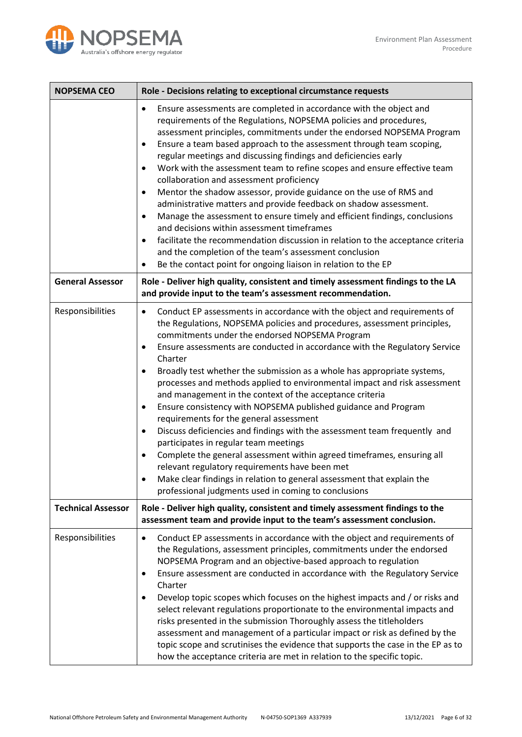

| <b>NOPSEMA CEO</b>        | Role - Decisions relating to exceptional circumstance requests                                                                                                                                                                                                                                                                                                                                                                                                                                                                                                                                                                                                                                                                                                                                                                                                                                                                                                                                                                                                                                     |  |  |
|---------------------------|----------------------------------------------------------------------------------------------------------------------------------------------------------------------------------------------------------------------------------------------------------------------------------------------------------------------------------------------------------------------------------------------------------------------------------------------------------------------------------------------------------------------------------------------------------------------------------------------------------------------------------------------------------------------------------------------------------------------------------------------------------------------------------------------------------------------------------------------------------------------------------------------------------------------------------------------------------------------------------------------------------------------------------------------------------------------------------------------------|--|--|
|                           | Ensure assessments are completed in accordance with the object and<br>$\bullet$<br>requirements of the Regulations, NOPSEMA policies and procedures,<br>assessment principles, commitments under the endorsed NOPSEMA Program<br>Ensure a team based approach to the assessment through team scoping,<br>$\bullet$<br>regular meetings and discussing findings and deficiencies early<br>Work with the assessment team to refine scopes and ensure effective team<br>$\bullet$<br>collaboration and assessment proficiency<br>Mentor the shadow assessor, provide guidance on the use of RMS and<br>$\bullet$<br>administrative matters and provide feedback on shadow assessment.<br>Manage the assessment to ensure timely and efficient findings, conclusions<br>$\bullet$<br>and decisions within assessment timeframes<br>facilitate the recommendation discussion in relation to the acceptance criteria<br>$\bullet$<br>and the completion of the team's assessment conclusion<br>Be the contact point for ongoing liaison in relation to the EP<br>٠                                       |  |  |
| <b>General Assessor</b>   | Role - Deliver high quality, consistent and timely assessment findings to the LA<br>and provide input to the team's assessment recommendation.                                                                                                                                                                                                                                                                                                                                                                                                                                                                                                                                                                                                                                                                                                                                                                                                                                                                                                                                                     |  |  |
| Responsibilities          | Conduct EP assessments in accordance with the object and requirements of<br>$\bullet$<br>the Regulations, NOPSEMA policies and procedures, assessment principles,<br>commitments under the endorsed NOPSEMA Program<br>Ensure assessments are conducted in accordance with the Regulatory Service<br>$\bullet$<br>Charter<br>Broadly test whether the submission as a whole has appropriate systems,<br>$\bullet$<br>processes and methods applied to environmental impact and risk assessment<br>and management in the context of the acceptance criteria<br>Ensure consistency with NOPSEMA published guidance and Program<br>$\bullet$<br>requirements for the general assessment<br>Discuss deficiencies and findings with the assessment team frequently and<br>$\bullet$<br>participates in regular team meetings<br>Complete the general assessment within agreed timeframes, ensuring all<br>$\bullet$<br>relevant regulatory requirements have been met<br>Make clear findings in relation to general assessment that explain the<br>professional judgments used in coming to conclusions |  |  |
| <b>Technical Assessor</b> | Role - Deliver high quality, consistent and timely assessment findings to the<br>assessment team and provide input to the team's assessment conclusion.                                                                                                                                                                                                                                                                                                                                                                                                                                                                                                                                                                                                                                                                                                                                                                                                                                                                                                                                            |  |  |
| Responsibilities          | Conduct EP assessments in accordance with the object and requirements of<br>$\bullet$<br>the Regulations, assessment principles, commitments under the endorsed<br>NOPSEMA Program and an objective-based approach to regulation<br>Ensure assessment are conducted in accordance with the Regulatory Service<br>$\bullet$<br>Charter<br>Develop topic scopes which focuses on the highest impacts and / or risks and<br>٠<br>select relevant regulations proportionate to the environmental impacts and<br>risks presented in the submission Thoroughly assess the titleholders<br>assessment and management of a particular impact or risk as defined by the<br>topic scope and scrutinises the evidence that supports the case in the EP as to<br>how the acceptance criteria are met in relation to the specific topic.                                                                                                                                                                                                                                                                        |  |  |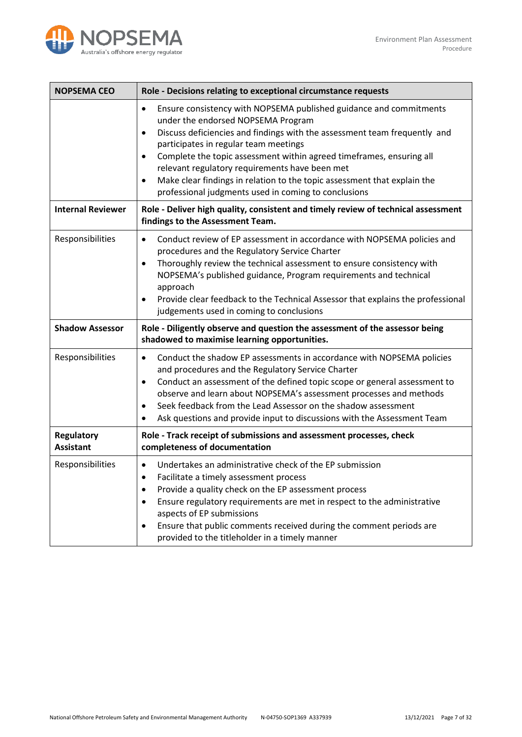

| <b>NOPSEMA CEO</b>                    | Role - Decisions relating to exceptional circumstance requests                                                                                                                                                                                                                                                                                                                                                                                                                                                                                   |  |  |
|---------------------------------------|--------------------------------------------------------------------------------------------------------------------------------------------------------------------------------------------------------------------------------------------------------------------------------------------------------------------------------------------------------------------------------------------------------------------------------------------------------------------------------------------------------------------------------------------------|--|--|
|                                       | Ensure consistency with NOPSEMA published guidance and commitments<br>$\bullet$<br>under the endorsed NOPSEMA Program<br>Discuss deficiencies and findings with the assessment team frequently and<br>$\bullet$<br>participates in regular team meetings<br>Complete the topic assessment within agreed timeframes, ensuring all<br>$\bullet$<br>relevant regulatory requirements have been met<br>Make clear findings in relation to the topic assessment that explain the<br>$\bullet$<br>professional judgments used in coming to conclusions |  |  |
| <b>Internal Reviewer</b>              | Role - Deliver high quality, consistent and timely review of technical assessment<br>findings to the Assessment Team.                                                                                                                                                                                                                                                                                                                                                                                                                            |  |  |
| Responsibilities                      | Conduct review of EP assessment in accordance with NOPSEMA policies and<br>$\bullet$<br>procedures and the Regulatory Service Charter<br>Thoroughly review the technical assessment to ensure consistency with<br>$\bullet$<br>NOPSEMA's published guidance, Program requirements and technical<br>approach<br>Provide clear feedback to the Technical Assessor that explains the professional<br>judgements used in coming to conclusions                                                                                                       |  |  |
| <b>Shadow Assessor</b>                | Role - Diligently observe and question the assessment of the assessor being<br>shadowed to maximise learning opportunities.                                                                                                                                                                                                                                                                                                                                                                                                                      |  |  |
| Responsibilities                      |                                                                                                                                                                                                                                                                                                                                                                                                                                                                                                                                                  |  |  |
|                                       | Conduct the shadow EP assessments in accordance with NOPSEMA policies<br>$\bullet$<br>and procedures and the Regulatory Service Charter<br>Conduct an assessment of the defined topic scope or general assessment to<br>$\bullet$<br>observe and learn about NOPSEMA's assessment processes and methods<br>Seek feedback from the Lead Assessor on the shadow assessment<br>$\bullet$<br>Ask questions and provide input to discussions with the Assessment Team<br>$\bullet$                                                                    |  |  |
| <b>Regulatory</b><br><b>Assistant</b> | Role - Track receipt of submissions and assessment processes, check<br>completeness of documentation                                                                                                                                                                                                                                                                                                                                                                                                                                             |  |  |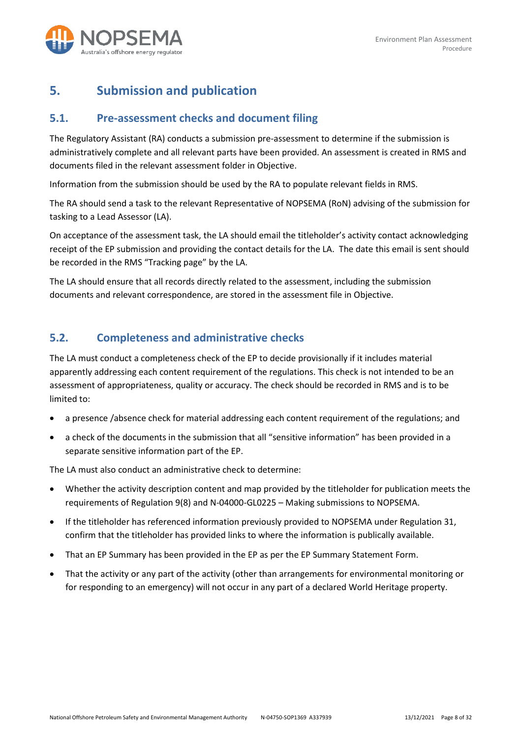

# <span id="page-7-0"></span>**5. Submission and publication**

#### <span id="page-7-1"></span>**5.1. Pre-assessment checks and document filing**

The Regulatory Assistant (RA) conducts a submission pre-assessment to determine if the submission is administratively complete and all relevant parts have been provided. An assessment is created in RMS and documents filed in the relevant assessment folder in Objective.

Information from the submission should be used by the RA to populate relevant fields in RMS.

The RA should send a task to the relevant Representative of NOPSEMA (RoN) advising of the submission for tasking to a Lead Assessor (LA).

On acceptance of the assessment task, the LA should email the titleholder's activity contact acknowledging receipt of the EP submission and providing the contact details for the LA. The date this email is sent should be recorded in the RMS "Tracking page" by the LA.

The LA should ensure that all records directly related to the assessment, including the submission documents and relevant correspondence, are stored in the assessment file in Objective.

#### <span id="page-7-2"></span>**5.2. Completeness and administrative checks**

The LA must conduct a completeness check of the EP to decide provisionally if it includes material apparently addressing each content requirement of the regulations. This check is not intended to be an assessment of appropriateness, quality or accuracy. The check should be recorded in RMS and is to be limited to:

- a presence /absence check for material addressing each content requirement of the regulations; and
- a check of the documents in the submission that all "sensitive information" has been provided in a separate sensitive information part of the EP.

The LA must also conduct an administrative check to determine:

- Whether the activity description content and map provided by the titleholder for publication meets the requirements of Regulation 9(8) and N-04000-GL0225 – Making submissions to NOPSEMA.
- If the titleholder has referenced information previously provided to NOPSEMA under Regulation 31, confirm that the titleholder has provided links to where the information is publically available.
- That an EP Summary has been provided in the EP as per the EP Summary Statement Form.
- That the activity or any part of the activity (other than arrangements for environmental monitoring or for responding to an emergency) will not occur in any part of a declared World Heritage property.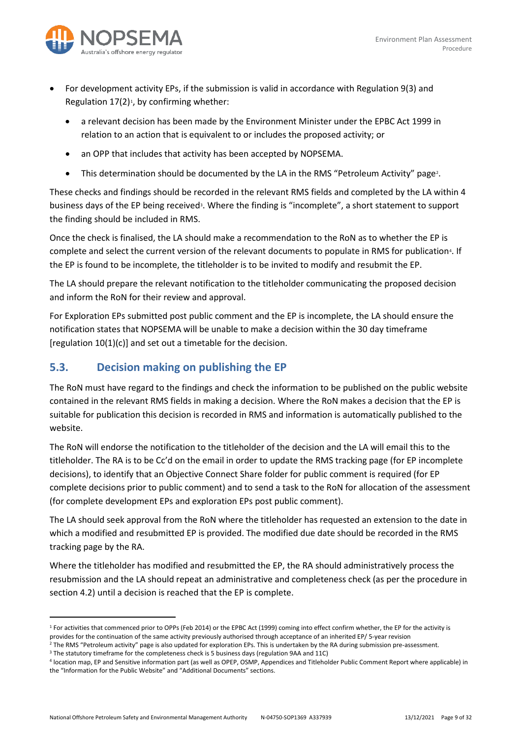

- For development activity EPs, if the submission is valid in accordance with Regulation 9(3) and Regulation  $17(2)^1$  $17(2)^1$ , by confirming whether:
	- a relevant decision has been made by the Environment Minister under the EPBC Act 1999 in relation to an action that is equivalent to or includes the proposed activity; or
	- an OPP that includes that activity has been accepted by NOPSEMA.
	- This determination should be documented by the LA in the RMS "Petroleum Activity" page<sup>[2](#page-8-2)</sup>.

These checks and findings should be recorded in the relevant RMS fields and completed by the LA within 4 business days of the EP being received<sup>[3](#page-8-3)</sup>. Where the finding is "incomplete", a short statement to support the finding should be included in RMS.

Once the check is finalised, the LA should make a recommendation to the RoN as to whether the EP is complete and select the current version of the relevant documents to populate in RMS for publication<sup>[4](#page-8-4)</sup>. If the EP is found to be incomplete, the titleholder is to be invited to modify and resubmit the EP.

The LA should prepare the relevant notification to the titleholder communicating the proposed decision and inform the RoN for their review and approval.

For Exploration EPs submitted post public comment and the EP is incomplete, the LA should ensure the notification states that NOPSEMA will be unable to make a decision within the 30 day timeframe [regulation 10(1)(c)] and set out a timetable for the decision.

### <span id="page-8-0"></span>**5.3. Decision making on publishing the EP**

The RoN must have regard to the findings and check the information to be published on the public website contained in the relevant RMS fields in making a decision. Where the RoN makes a decision that the EP is suitable for publication this decision is recorded in RMS and information is automatically published to the website.

The RoN will endorse the notification to the titleholder of the decision and the LA will email this to the titleholder. The RA is to be Cc'd on the email in order to update the RMS tracking page (for EP incomplete decisions), to identify that an Objective Connect Share folder for public comment is required (for EP complete decisions prior to public comment) and to send a task to the RoN for allocation of the assessment (for complete development EPs and exploration EPs post public comment).

The LA should seek approval from the RoN where the titleholder has requested an extension to the date in which a modified and resubmitted EP is provided. The modified due date should be recorded in the RMS tracking page by the RA.

Where the titleholder has modified and resubmitted the EP, the RA should administratively process the resubmission and the LA should repeat an administrative and completeness check (as per the procedure in section 4.2) until a decision is reached that the EP is complete.

<span id="page-8-1"></span><sup>&</sup>lt;sup>1</sup> For activities that commenced prior to OPPs (Feb 2014) or the EPBC Act (1999) coming into effect confirm whether, the EP for the activity is provides for the continuation of the same activity previously authorised through acceptance of an inherited EP/ 5-year revision

<span id="page-8-2"></span><sup>&</sup>lt;sup>2</sup> The RMS "Petroleum activity" page is also updated for exploration EPs. This is undertaken by the RA during submission pre-assessment.<br><sup>3</sup> The statutory timeframe for the completeness check is 5 business days (regulatio

<span id="page-8-3"></span>

<span id="page-8-4"></span><sup>4</sup> location map, EP and Sensitive information part (as well as OPEP, OSMP, Appendices and Titleholder Public Comment Report where applicable) in the "Information for the Public Website" and "Additional Documents" sections.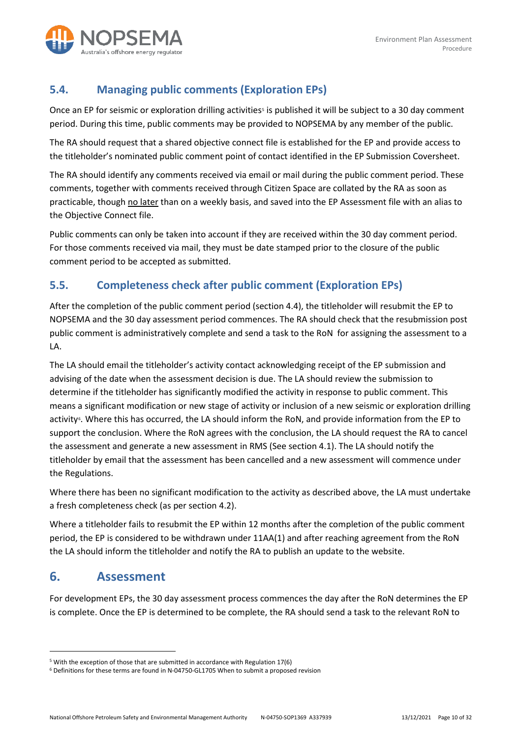

## <span id="page-9-0"></span>**5.4. Managing public comments (Exploration EPs)**

Once an EP for seismic or exploration drilling activities<sup>[5](#page-9-3)</sup> is published it will be subject to a 30 day comment period. During this time, public comments may be provided to NOPSEMA by any member of the public.

The RA should request that a shared objective connect file is established for the EP and provide access to the titleholder's nominated public comment point of contact identified in the EP Submission Coversheet.

The RA should identify any comments received via email or mail during the public comment period. These comments, together with comments received through Citizen Space are collated by the RA as soon as practicable, though no later than on a weekly basis, and saved into the EP Assessment file with an alias to the Objective Connect file.

Public comments can only be taken into account if they are received within the 30 day comment period. For those comments received via mail, they must be date stamped prior to the closure of the public comment period to be accepted as submitted.

## <span id="page-9-1"></span>**5.5. Completeness check after public comment (Exploration EPs)**

After the completion of the public comment period (section 4.4), the titleholder will resubmit the EP to NOPSEMA and the 30 day assessment period commences. The RA should check that the resubmission post public comment is administratively complete and send a task to the RoN for assigning the assessment to a LA.

The LA should email the titleholder's activity contact acknowledging receipt of the EP submission and advising of the date when the assessment decision is due. The LA should review the submission to determine if the titleholder has significantly modified the activity in response to public comment. This means a significant modification or new stage of activity or inclusion of a new seismic or exploration drilling activity<sup>6</sup>. Where this has occurred, the LA should inform the RoN, and provide information from the EP to support the conclusion. Where the RoN agrees with the conclusion, the LA should request the RA to cancel the assessment and generate a new assessment in RMS (See section 4.1). The LA should notify the titleholder by email that the assessment has been cancelled and a new assessment will commence under the Regulations.

Where there has been no significant modification to the activity as described above, the LA must undertake a fresh completeness check (as per section 4.2).

Where a titleholder fails to resubmit the EP within 12 months after the completion of the public comment period, the EP is considered to be withdrawn under 11AA(1) and after reaching agreement from the RoN the LA should inform the titleholder and notify the RA to publish an update to the website.

# <span id="page-9-2"></span>**6. Assessment**

For development EPs, the 30 day assessment process commences the day after the RoN determines the EP is complete. Once the EP is determined to be complete, the RA should send a task to the relevant RoN to

<span id="page-9-3"></span><sup>5</sup> With the exception of those that are submitted in accordance with Regulation 17(6)

<span id="page-9-4"></span><sup>6</sup> Definitions for these terms are found in N-04750-GL1705 When to submit a proposed revision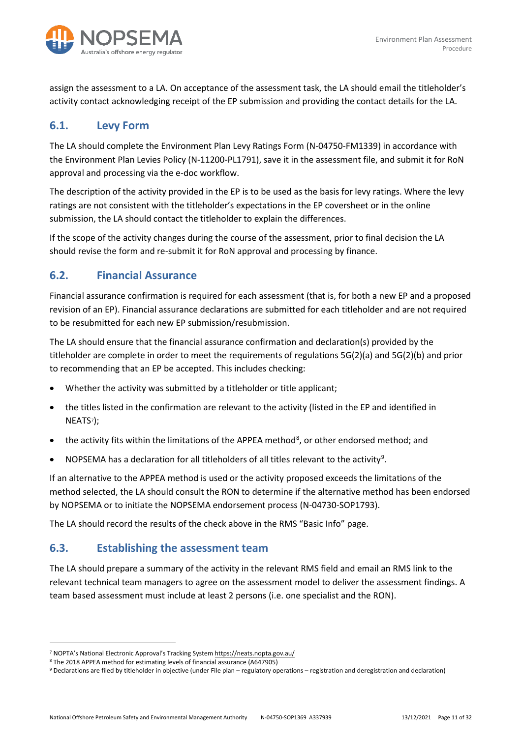

assign the assessment to a LA. On acceptance of the assessment task, the LA should email the titleholder's activity contact acknowledging receipt of the EP submission and providing the contact details for the LA.

#### <span id="page-10-0"></span>**6.1. Levy Form**

The LA should complete the Environment Plan Levy Ratings Form (N-04750-FM1339) in accordance with the Environment Plan Levies Policy (N-11200-PL1791), save it in the assessment file, and submit it for RoN approval and processing via the e-doc workflow.

The description of the activity provided in the EP is to be used as the basis for levy ratings. Where the levy ratings are not consistent with the titleholder's expectations in the EP coversheet or in the online submission, the LA should contact the titleholder to explain the differences.

If the scope of the activity changes during the course of the assessment, prior to final decision the LA should revise the form and re-submit it for RoN approval and processing by finance.

#### <span id="page-10-1"></span>**6.2. Financial Assurance**

Financial assurance confirmation is required for each assessment (that is, for both a new EP and a proposed revision of an EP). Financial assurance declarations are submitted for each titleholder and are not required to be resubmitted for each new EP submission/resubmission.

The LA should ensure that the financial assurance confirmation and declaration(s) provided by the titleholder are complete in order to meet the requirements of regulations 5G(2)(a) and 5G(2)(b) and prior to recommending that an EP be accepted. This includes checking:

- Whether the activity was submitted by a titleholder or title applicant;
- the titles listed in the confirmation are relevant to the activity (listed in the EP and identified in NEATS[7\)](#page-10-3);
- $\bullet$  the activity fits within the limitations of the APPEA method<sup>[8](#page-10-4)</sup>, or other endorsed method; and
- NOPSEMA has a declaration for all titleholders of all titles relevant to the activity<sup>[9](#page-10-5)</sup>.

If an alternative to the APPEA method is used or the activity proposed exceeds the limitations of the method selected, the LA should consult the RON to determine if the alternative method has been endorsed by NOPSEMA or to initiate the NOPSEMA endorsement process (N-04730-SOP1793).

The LA should record the results of the check above in the RMS "Basic Info" page.

#### <span id="page-10-2"></span>**6.3. Establishing the assessment team**

The LA should prepare a summary of the activity in the relevant RMS field and email an RMS link to the relevant technical team managers to agree on the assessment model to deliver the assessment findings. A team based assessment must include at least 2 persons (i.e. one specialist and the RON).

<span id="page-10-3"></span><sup>&</sup>lt;sup>7</sup> NOPTA's National Electronic Approval's Tracking Syste[m https://neats.nopta.gov.au/](https://neats.nopta.gov.au/)<br><sup>8</sup> The 2018 APPEA method for estimating levels of financial assurance (A647905)

<span id="page-10-5"></span><span id="page-10-4"></span><sup>&</sup>lt;sup>9</sup> Declarations are filed by titleholder in objective (under File plan – regulatory operations – registration and deregistration and declaration)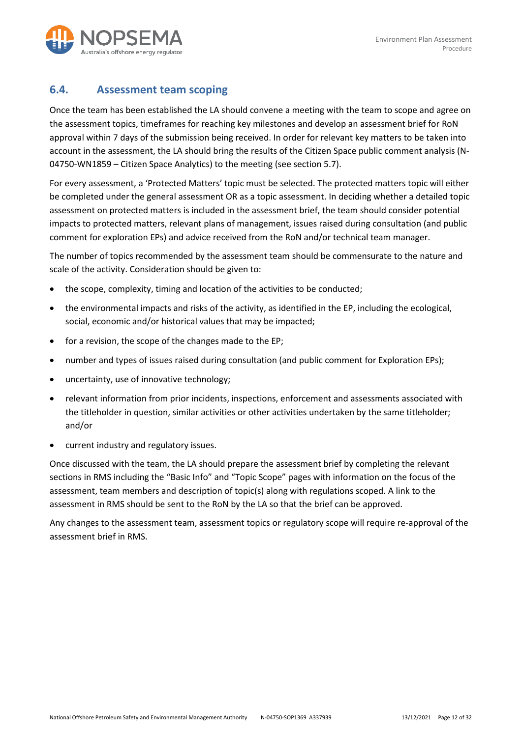

#### <span id="page-11-0"></span>**6.4. Assessment team scoping**

Once the team has been established the LA should convene a meeting with the team to scope and agree on the assessment topics, timeframes for reaching key milestones and develop an assessment brief for RoN approval within 7 days of the submission being received. In order for relevant key matters to be taken into account in the assessment, the LA should bring the results of the Citizen Space public comment analysis (N-04750-WN1859 – Citizen Space Analytics) to the meeting (see section 5.7).

For every assessment, a 'Protected Matters' topic must be selected. The protected matters topic will either be completed under the general assessment OR as a topic assessment. In deciding whether a detailed topic assessment on protected matters is included in the assessment brief, the team should consider potential impacts to protected matters, relevant plans of management, issues raised during consultation (and public comment for exploration EPs) and advice received from the RoN and/or technical team manager.

The number of topics recommended by the assessment team should be commensurate to the nature and scale of the activity. Consideration should be given to:

- the scope, complexity, timing and location of the activities to be conducted;
- the environmental impacts and risks of the activity, as identified in the EP, including the ecological, social, economic and/or historical values that may be impacted;
- for a revision, the scope of the changes made to the EP;
- number and types of issues raised during consultation (and public comment for Exploration EPs);
- uncertainty, use of innovative technology;
- relevant information from prior incidents, inspections, enforcement and assessments associated with the titleholder in question, similar activities or other activities undertaken by the same titleholder; and/or
- current industry and regulatory issues.

Once discussed with the team, the LA should prepare the assessment brief by completing the relevant sections in RMS including the "Basic Info" and "Topic Scope" pages with information on the focus of the assessment, team members and description of topic(s) along with regulations scoped. A link to the assessment in RMS should be sent to the RoN by the LA so that the brief can be approved.

Any changes to the assessment team, assessment topics or regulatory scope will require re-approval of the assessment brief in RMS.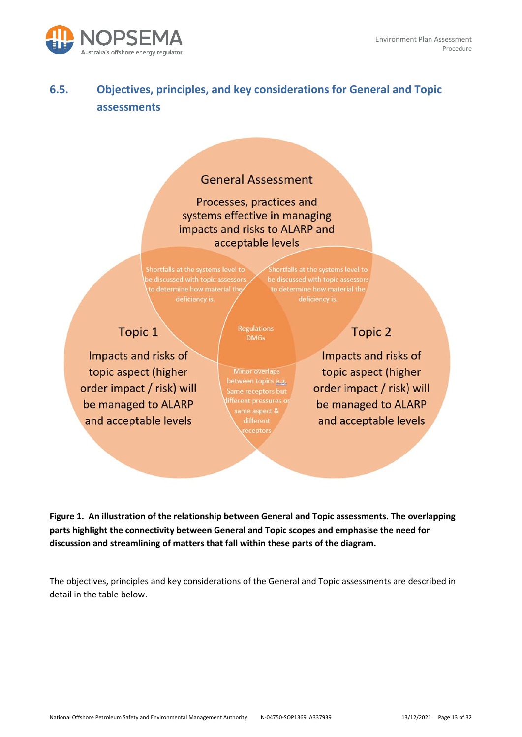

# <span id="page-12-0"></span>**6.5. Objectives, principles, and key considerations for General and Topic assessments**

# **General Assessment**

Processes, practices and systems effective in managing impacts and risks to ALARP and acceptable levels

to determine how material the

Shortfalls at the systems level to

# Topic 1

Impacts and risks of topic aspect (higher order impact / risk) will be managed to ALARP and acceptable levels

**DMGs** 

**Minor overlaps** between topics <u>e.g.</u> Same receptors but fferent pressures or ame aspect & different

# Topic 2

Impacts and risks of topic aspect (higher order impact / risk) will be managed to ALARP and acceptable levels

**Figure 1. An illustration of the relationship between General and Topic assessments. The overlapping parts highlight the connectivity between General and Topic scopes and emphasise the need for discussion and streamlining of matters that fall within these parts of the diagram.** 

The objectives, principles and key considerations of the General and Topic assessments are described in detail in the table below.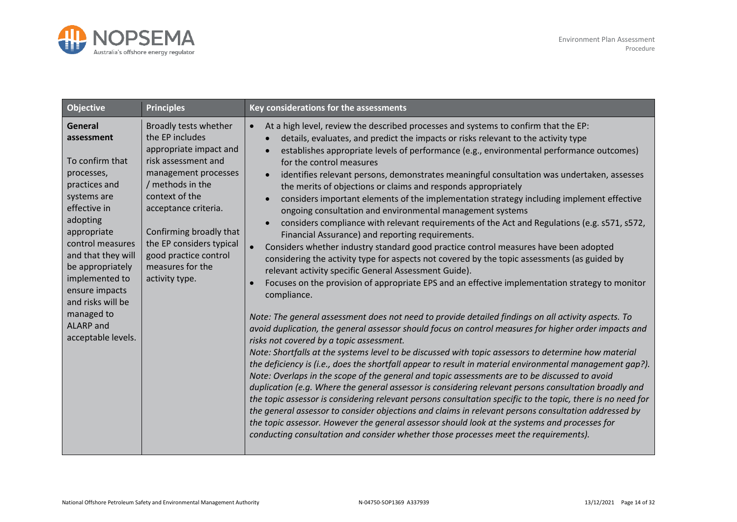

| <b>Objective</b>                                                                                                                                                                                                                                                                                          | <b>Principles</b>                                                                                                                                                                                                                                                                                     | Key considerations for the assessments                                                                                                                                                                                                                                                                                                                                                                                                                                                                                                                                                                                                                                                                                                                                                                                                                                                                                                                                                                                                                                                                                                                                                                                                                                                                                                                                                                                                                                                                                                                                                                                                                                                                                                                                                                                                                                                                                                                                                                                                                                                                                                                                                                                                                                   |
|-----------------------------------------------------------------------------------------------------------------------------------------------------------------------------------------------------------------------------------------------------------------------------------------------------------|-------------------------------------------------------------------------------------------------------------------------------------------------------------------------------------------------------------------------------------------------------------------------------------------------------|--------------------------------------------------------------------------------------------------------------------------------------------------------------------------------------------------------------------------------------------------------------------------------------------------------------------------------------------------------------------------------------------------------------------------------------------------------------------------------------------------------------------------------------------------------------------------------------------------------------------------------------------------------------------------------------------------------------------------------------------------------------------------------------------------------------------------------------------------------------------------------------------------------------------------------------------------------------------------------------------------------------------------------------------------------------------------------------------------------------------------------------------------------------------------------------------------------------------------------------------------------------------------------------------------------------------------------------------------------------------------------------------------------------------------------------------------------------------------------------------------------------------------------------------------------------------------------------------------------------------------------------------------------------------------------------------------------------------------------------------------------------------------------------------------------------------------------------------------------------------------------------------------------------------------------------------------------------------------------------------------------------------------------------------------------------------------------------------------------------------------------------------------------------------------------------------------------------------------------------------------------------------------|
| General<br>assessment<br>To confirm that<br>processes,<br>practices and<br>systems are<br>effective in<br>adopting<br>appropriate<br>control measures<br>and that they will<br>be appropriately<br>implemented to<br>ensure impacts<br>and risks will be<br>managed to<br>ALARP and<br>acceptable levels. | Broadly tests whether<br>the EP includes<br>appropriate impact and<br>risk assessment and<br>management processes<br>/ methods in the<br>context of the<br>acceptance criteria.<br>Confirming broadly that<br>the EP considers typical<br>good practice control<br>measures for the<br>activity type. | At a high level, review the described processes and systems to confirm that the EP:<br>$\bullet$<br>details, evaluates, and predict the impacts or risks relevant to the activity type<br>establishes appropriate levels of performance (e.g., environmental performance outcomes)<br>for the control measures<br>identifies relevant persons, demonstrates meaningful consultation was undertaken, assesses<br>the merits of objections or claims and responds appropriately<br>considers important elements of the implementation strategy including implement effective<br>ongoing consultation and environmental management systems<br>considers compliance with relevant requirements of the Act and Regulations (e.g. s571, s572,<br>Financial Assurance) and reporting requirements.<br>Considers whether industry standard good practice control measures have been adopted<br>considering the activity type for aspects not covered by the topic assessments (as guided by<br>relevant activity specific General Assessment Guide).<br>Focuses on the provision of appropriate EPS and an effective implementation strategy to monitor<br>compliance.<br>Note: The general assessment does not need to provide detailed findings on all activity aspects. To<br>avoid duplication, the general assessor should focus on control measures for higher order impacts and<br>risks not covered by a topic assessment.<br>Note: Shortfalls at the systems level to be discussed with topic assessors to determine how material<br>the deficiency is (i.e., does the shortfall appear to result in material environmental management qap?).<br>Note: Overlaps in the scope of the general and topic assessments are to be discussed to avoid<br>duplication (e.g. Where the general assessor is considering relevant persons consultation broadly and<br>the topic assessor is considering relevant persons consultation specific to the topic, there is no need for<br>the general assessor to consider objections and claims in relevant persons consultation addressed by<br>the topic assessor. However the general assessor should look at the systems and processes for<br>conducting consultation and consider whether those processes meet the requirements). |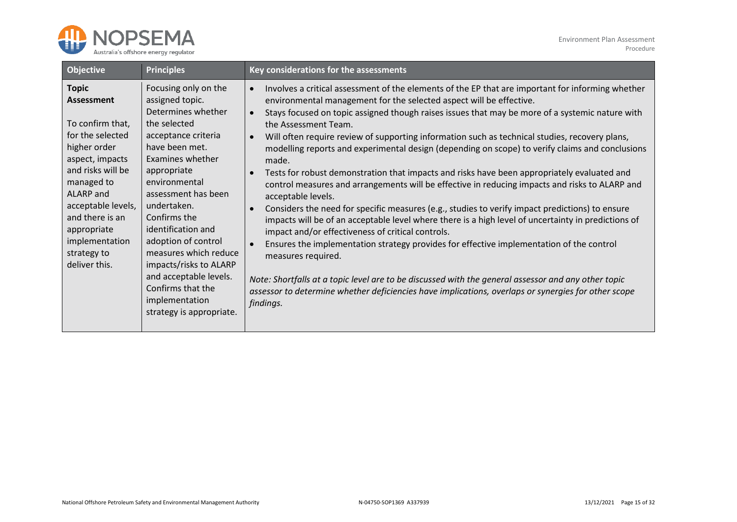

| <b>Objective</b>                                                                                                                                                                                                                                                       | <b>Principles</b>                                                                                                                                                                                                                                                                                                                                                                                                             | Key considerations for the assessments                                                                                                                                                                                                                                                                                                                                                                                                                                                                                                                                                                                                                                                                                                                                                                                                                                                                                                                                                                                                                                                                                                                                                                                                                                                                                                                                                                                             |
|------------------------------------------------------------------------------------------------------------------------------------------------------------------------------------------------------------------------------------------------------------------------|-------------------------------------------------------------------------------------------------------------------------------------------------------------------------------------------------------------------------------------------------------------------------------------------------------------------------------------------------------------------------------------------------------------------------------|------------------------------------------------------------------------------------------------------------------------------------------------------------------------------------------------------------------------------------------------------------------------------------------------------------------------------------------------------------------------------------------------------------------------------------------------------------------------------------------------------------------------------------------------------------------------------------------------------------------------------------------------------------------------------------------------------------------------------------------------------------------------------------------------------------------------------------------------------------------------------------------------------------------------------------------------------------------------------------------------------------------------------------------------------------------------------------------------------------------------------------------------------------------------------------------------------------------------------------------------------------------------------------------------------------------------------------------------------------------------------------------------------------------------------------|
| <b>Topic</b><br><b>Assessment</b><br>To confirm that,<br>for the selected<br>higher order<br>aspect, impacts<br>and risks will be<br>managed to<br>ALARP and<br>acceptable levels,<br>and there is an<br>appropriate<br>implementation<br>strategy to<br>deliver this. | Focusing only on the<br>assigned topic.<br>Determines whether<br>the selected<br>acceptance criteria<br>have been met.<br>Examines whether<br>appropriate<br>environmental<br>assessment has been<br>undertaken.<br>Confirms the<br>identification and<br>adoption of control<br>measures which reduce<br>impacts/risks to ALARP<br>and acceptable levels.<br>Confirms that the<br>implementation<br>strategy is appropriate. | Involves a critical assessment of the elements of the EP that are important for informing whether<br>$\bullet$<br>environmental management for the selected aspect will be effective.<br>Stays focused on topic assigned though raises issues that may be more of a systemic nature with<br>$\bullet$<br>the Assessment Team.<br>Will often require review of supporting information such as technical studies, recovery plans,<br>$\bullet$<br>modelling reports and experimental design (depending on scope) to verify claims and conclusions<br>made.<br>Tests for robust demonstration that impacts and risks have been appropriately evaluated and<br>$\bullet$<br>control measures and arrangements will be effective in reducing impacts and risks to ALARP and<br>acceptable levels.<br>Considers the need for specific measures (e.g., studies to verify impact predictions) to ensure<br>$\bullet$<br>impacts will be of an acceptable level where there is a high level of uncertainty in predictions of<br>impact and/or effectiveness of critical controls.<br>Ensures the implementation strategy provides for effective implementation of the control<br>$\bullet$<br>measures required.<br>Note: Shortfalls at a topic level are to be discussed with the general assessor and any other topic<br>assessor to determine whether deficiencies have implications, overlaps or synergies for other scope<br>findings. |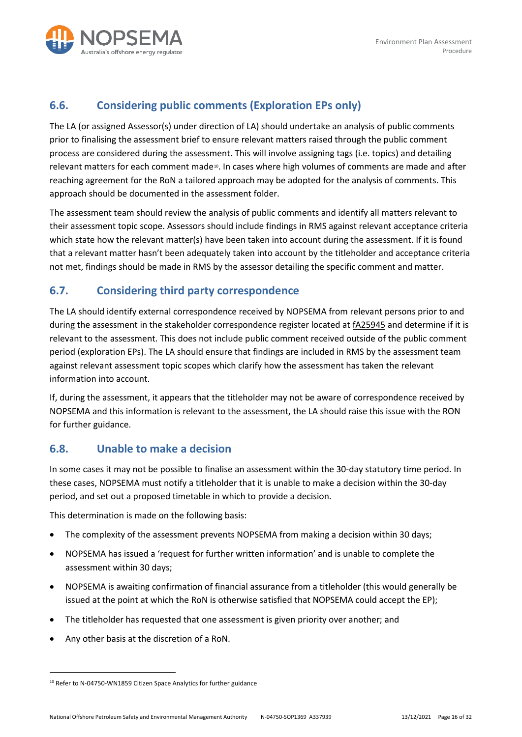

### <span id="page-15-0"></span>**6.6. Considering public comments (Exploration EPs only)**

The LA (or assigned Assessor(s) under direction of LA) should undertake an analysis of public comments prior to finalising the assessment brief to ensure relevant matters raised through the public comment process are considered during the assessment. This will involve assigning tags (i.e. topics) and detailing relevant matters for each comment made<sup>[10](#page-15-3)</sup>. In cases where high volumes of comments are made and after reaching agreement for the RoN a tailored approach may be adopted for the analysis of comments. This approach should be documented in the assessment folder.

The assessment team should review the analysis of public comments and identify all matters relevant to their assessment topic scope. Assessors should include findings in RMS against relevant acceptance criteria which state how the relevant matter(s) have been taken into account during the assessment. If it is found that a relevant matter hasn't been adequately taken into account by the titleholder and acceptance criteria not met, findings should be made in RMS by the assessor detailing the specific comment and matter.

#### <span id="page-15-1"></span>**6.7. Considering third party correspondence**

The LA should identify external correspondence received by NOPSEMA from relevant persons prior to and during the assessment in the stakeholder correspondence register located at [fA25945](https://objective/id:fA25945) and determine if it is relevant to the assessment. This does not include public comment received outside of the public comment period (exploration EPs). The LA should ensure that findings are included in RMS by the assessment team against relevant assessment topic scopes which clarify how the assessment has taken the relevant information into account.

If, during the assessment, it appears that the titleholder may not be aware of correspondence received by NOPSEMA and this information is relevant to the assessment, the LA should raise this issue with the RON for further guidance.

#### <span id="page-15-2"></span>**6.8. Unable to make a decision**

In some cases it may not be possible to finalise an assessment within the 30-day statutory time period. In these cases, NOPSEMA must notify a titleholder that it is unable to make a decision within the 30-day period, and set out a proposed timetable in which to provide a decision.

This determination is made on the following basis:

- The complexity of the assessment prevents NOPSEMA from making a decision within 30 days;
- NOPSEMA has issued a 'request for further written information' and is unable to complete the assessment within 30 days;
- NOPSEMA is awaiting confirmation of financial assurance from a titleholder (this would generally be issued at the point at which the RoN is otherwise satisfied that NOPSEMA could accept the EP);
- The titleholder has requested that one assessment is given priority over another; and
- Any other basis at the discretion of a RoN.

<span id="page-15-3"></span><sup>&</sup>lt;sup>10</sup> Refer to N-04750-WN1859 Citizen Space Analytics for further guidance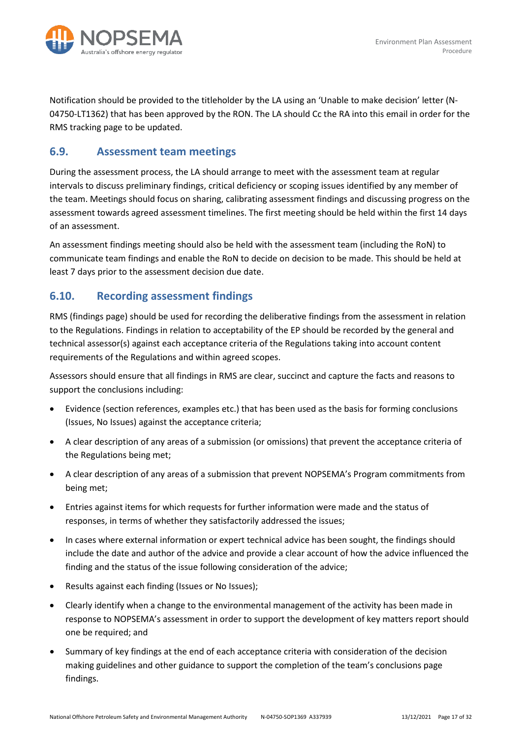

Notification should be provided to the titleholder by the LA using an 'Unable to make decision' letter (N-04750-LT1362) that has been approved by the RON. The LA should Cc the RA into this email in order for the RMS tracking page to be updated.

#### <span id="page-16-0"></span>**6.9. Assessment team meetings**

During the assessment process, the LA should arrange to meet with the assessment team at regular intervals to discuss preliminary findings, critical deficiency or scoping issues identified by any member of the team. Meetings should focus on sharing, calibrating assessment findings and discussing progress on the assessment towards agreed assessment timelines. The first meeting should be held within the first 14 days of an assessment.

An assessment findings meeting should also be held with the assessment team (including the RoN) to communicate team findings and enable the RoN to decide on decision to be made. This should be held at least 7 days prior to the assessment decision due date.

#### <span id="page-16-1"></span>**6.10. Recording assessment findings**

RMS (findings page) should be used for recording the deliberative findings from the assessment in relation to the Regulations. Findings in relation to acceptability of the EP should be recorded by the general and technical assessor(s) against each acceptance criteria of the Regulations taking into account content requirements of the Regulations and within agreed scopes.

Assessors should ensure that all findings in RMS are clear, succinct and capture the facts and reasons to support the conclusions including:

- Evidence (section references, examples etc.) that has been used as the basis for forming conclusions (Issues, No Issues) against the acceptance criteria;
- A clear description of any areas of a submission (or omissions) that prevent the acceptance criteria of the Regulations being met;
- A clear description of any areas of a submission that prevent NOPSEMA's Program commitments from being met;
- Entries against items for which requests for further information were made and the status of responses, in terms of whether they satisfactorily addressed the issues;
- In cases where external information or expert technical advice has been sought, the findings should include the date and author of the advice and provide a clear account of how the advice influenced the finding and the status of the issue following consideration of the advice;
- Results against each finding (Issues or No Issues);
- Clearly identify when a change to the environmental management of the activity has been made in response to NOPSEMA's assessment in order to support the development of key matters report should one be required; and
- Summary of key findings at the end of each acceptance criteria with consideration of the decision making guidelines and other guidance to support the completion of the team's conclusions page findings.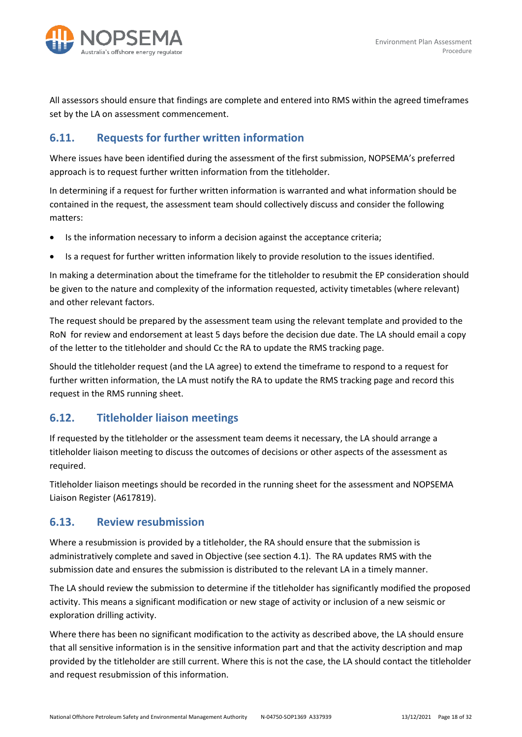

All assessors should ensure that findings are complete and entered into RMS within the agreed timeframes set by the LA on assessment commencement.

### <span id="page-17-0"></span>**6.11. Requests for further written information**

Where issues have been identified during the assessment of the first submission, NOPSEMA's preferred approach is to request further written information from the titleholder.

In determining if a request for further written information is warranted and what information should be contained in the request, the assessment team should collectively discuss and consider the following matters:

- Is the information necessary to inform a decision against the acceptance criteria;
- Is a request for further written information likely to provide resolution to the issues identified.

In making a determination about the timeframe for the titleholder to resubmit the EP consideration should be given to the nature and complexity of the information requested, activity timetables (where relevant) and other relevant factors.

The request should be prepared by the assessment team using the relevant template and provided to the RoN for review and endorsement at least 5 days before the decision due date. The LA should email a copy of the letter to the titleholder and should Cc the RA to update the RMS tracking page.

Should the titleholder request (and the LA agree) to extend the timeframe to respond to a request for further written information, the LA must notify the RA to update the RMS tracking page and record this request in the RMS running sheet.

#### <span id="page-17-1"></span>**6.12. Titleholder liaison meetings**

If requested by the titleholder or the assessment team deems it necessary, the LA should arrange a titleholder liaison meeting to discuss the outcomes of decisions or other aspects of the assessment as required.

Titleholder liaison meetings should be recorded in the running sheet for the assessment and NOPSEMA Liaison Register (A617819).

#### <span id="page-17-2"></span>**6.13. Review resubmission**

Where a resubmission is provided by a titleholder, the RA should ensure that the submission is administratively complete and saved in Objective (see section 4.1). The RA updates RMS with the submission date and ensures the submission is distributed to the relevant LA in a timely manner.

The LA should review the submission to determine if the titleholder has significantly modified the proposed activity. This means a significant modification or new stage of activity or inclusion of a new seismic or exploration drilling activity.

Where there has been no significant modification to the activity as described above, the LA should ensure that all sensitive information is in the sensitive information part and that the activity description and map provided by the titleholder are still current. Where this is not the case, the LA should contact the titleholder and request resubmission of this information.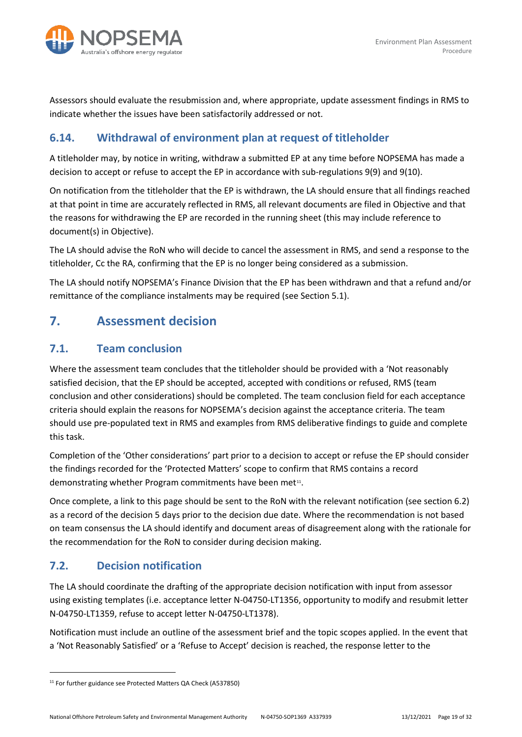

Assessors should evaluate the resubmission and, where appropriate, update assessment findings in RMS to indicate whether the issues have been satisfactorily addressed or not.

### <span id="page-18-0"></span>**6.14. Withdrawal of environment plan at request of titleholder**

A titleholder may, by notice in writing, withdraw a submitted EP at any time before NOPSEMA has made a decision to accept or refuse to accept the EP in accordance with sub-regulations 9(9) and 9(10).

On notification from the titleholder that the EP is withdrawn, the LA should ensure that all findings reached at that point in time are accurately reflected in RMS, all relevant documents are filed in Objective and that the reasons for withdrawing the EP are recorded in the running sheet (this may include reference to document(s) in Objective).

The LA should advise the RoN who will decide to cancel the assessment in RMS, and send a response to the titleholder, Cc the RA, confirming that the EP is no longer being considered as a submission.

The LA should notify NOPSEMA's Finance Division that the EP has been withdrawn and that a refund and/or remittance of the compliance instalments may be required (see Section 5.1).

## <span id="page-18-1"></span>**7. Assessment decision**

#### <span id="page-18-2"></span>**7.1. Team conclusion**

Where the assessment team concludes that the titleholder should be provided with a 'Not reasonably satisfied decision, that the EP should be accepted, accepted with conditions or refused, RMS (team conclusion and other considerations) should be completed. The team conclusion field for each acceptance criteria should explain the reasons for NOPSEMA's decision against the acceptance criteria. The team should use pre-populated text in RMS and examples from RMS deliberative findings to guide and complete this task.

Completion of the 'Other considerations' part prior to a decision to accept or refuse the EP should consider the findings recorded for the 'Protected Matters' scope to confirm that RMS contains a record demonstrating whether Program commitments have been met<sup>11</sup>.

Once complete, a link to this page should be sent to the RoN with the relevant notification (see section 6.2) as a record of the decision 5 days prior to the decision due date. Where the recommendation is not based on team consensus the LA should identify and document areas of disagreement along with the rationale for the recommendation for the RoN to consider during decision making.

### <span id="page-18-3"></span>**7.2. Decision notification**

The LA should coordinate the drafting of the appropriate decision notification with input from assessor using existing templates (i.e. acceptance letter N-04750-LT1356, opportunity to modify and resubmit letter N-04750-LT1359, refuse to accept letter N-04750-LT1378).

Notification must include an outline of the assessment brief and the topic scopes applied. In the event that a 'Not Reasonably Satisfied' or a 'Refuse to Accept' decision is reached, the response letter to the

<span id="page-18-4"></span><sup>&</sup>lt;sup>11</sup> For further guidance see Protected Matters QA Check (A537850)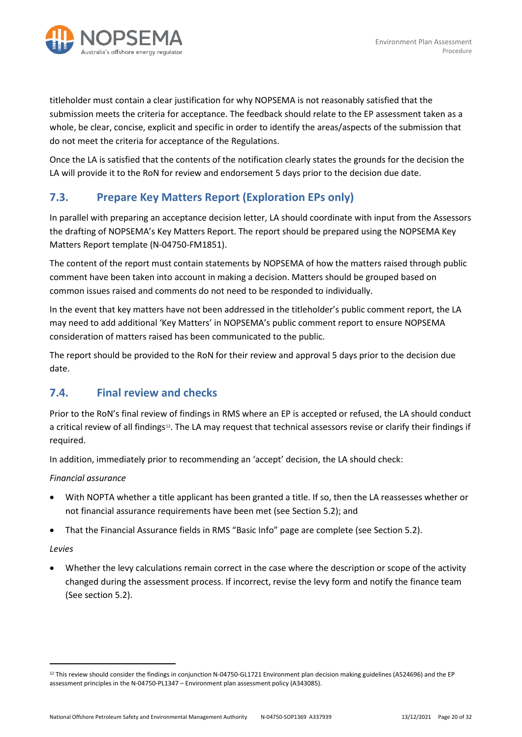

titleholder must contain a clear justification for why NOPSEMA is not reasonably satisfied that the submission meets the criteria for acceptance. The feedback should relate to the EP assessment taken as a whole, be clear, concise, explicit and specific in order to identify the areas/aspects of the submission that do not meet the criteria for acceptance of the Regulations.

Once the LA is satisfied that the contents of the notification clearly states the grounds for the decision the LA will provide it to the RoN for review and endorsement 5 days prior to the decision due date.

### <span id="page-19-0"></span>**7.3. Prepare Key Matters Report (Exploration EPs only)**

In parallel with preparing an acceptance decision letter, LA should coordinate with input from the Assessors the drafting of NOPSEMA's Key Matters Report. The report should be prepared using the NOPSEMA Key Matters Report template (N-04750-FM1851).

The content of the report must contain statements by NOPSEMA of how the matters raised through public comment have been taken into account in making a decision. Matters should be grouped based on common issues raised and comments do not need to be responded to individually.

In the event that key matters have not been addressed in the titleholder's public comment report, the LA may need to add additional 'Key Matters' in NOPSEMA's public comment report to ensure NOPSEMA consideration of matters raised has been communicated to the public.

The report should be provided to the RoN for their review and approval 5 days prior to the decision due date.

#### <span id="page-19-1"></span>**7.4. Final review and checks**

Prior to the RoN's final review of findings in RMS where an EP is accepted or refused, the LA should conduct a critical review of all findings<sup>[12](#page-19-2)</sup>. The LA may request that technical assessors revise or clarify their findings if required.

In addition, immediately prior to recommending an 'accept' decision, the LA should check:

*Financial assurance*

- With NOPTA whether a title applicant has been granted a title. If so, then the LA reassesses whether or not financial assurance requirements have been met (see Section 5.2); and
- That the Financial Assurance fields in RMS "Basic Info" page are complete (see Section 5.2).

#### *Levies*

• Whether the levy calculations remain correct in the case where the description or scope of the activity changed during the assessment process. If incorrect, revise the levy form and notify the finance team (See section 5.2).

<span id="page-19-2"></span><sup>&</sup>lt;sup>12</sup> This review should consider the findings in conjunction N-04750-GL1721 Environment plan decision making guidelines (A524696) and the EP assessment principles in the N-04750-PL1347 – Environment plan assessment policy (A343085).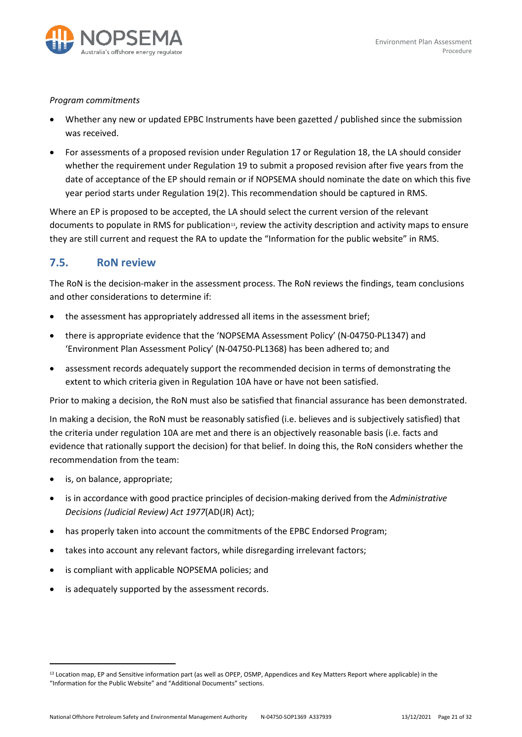

#### *Program commitments*

- Whether any new or updated EPBC Instruments have been gazetted / published since the submission was received.
- For assessments of a proposed revision under Regulation 17 or Regulation 18, the LA should consider whether the requirement under Regulation 19 to submit a proposed revision after five years from the date of acceptance of the EP should remain or if NOPSEMA should nominate the date on which this five year period starts under Regulation 19(2). This recommendation should be captured in RMS.

Where an EP is proposed to be accepted, the LA should select the current version of the relevant documents to populate in RMS for publication<sup>13</sup>, review the activity description and activity maps to ensure they are still current and request the RA to update the "Information for the public website" in RMS.

#### <span id="page-20-0"></span>**7.5. RoN review**

The RoN is the decision-maker in the assessment process. The RoN reviews the findings, team conclusions and other considerations to determine if:

- the assessment has appropriately addressed all items in the assessment brief;
- there is appropriate evidence that the 'NOPSEMA Assessment Policy' (N-04750-PL1347) and 'Environment Plan Assessment Policy' (N-04750-PL1368) has been adhered to; and
- assessment records adequately support the recommended decision in terms of demonstrating the extent to which criteria given in Regulation 10A have or have not been satisfied.

Prior to making a decision, the RoN must also be satisfied that financial assurance has been demonstrated.

In making a decision, the RoN must be reasonably satisfied (i.e. believes and is subjectively satisfied) that the criteria under regulation 10A are met and there is an objectively reasonable basis (i.e. facts and evidence that rationally support the decision) for that belief. In doing this, the RoN considers whether the recommendation from the team:

- is, on balance, appropriate;
- is in accordance with good practice principles of decision-making derived from the *Administrative Decisions (Judicial Review) Act 1977*(AD(JR) Act);
- has properly taken into account the commitments of the EPBC Endorsed Program;
- takes into account any relevant factors, while disregarding irrelevant factors;
- is compliant with applicable NOPSEMA policies; and
- is adequately supported by the assessment records.

<span id="page-20-1"></span><sup>13</sup> Location map, EP and Sensitive information part (as well as OPEP, OSMP, Appendices and Key Matters Report where applicable) in the "Information for the Public Website" and "Additional Documents" sections.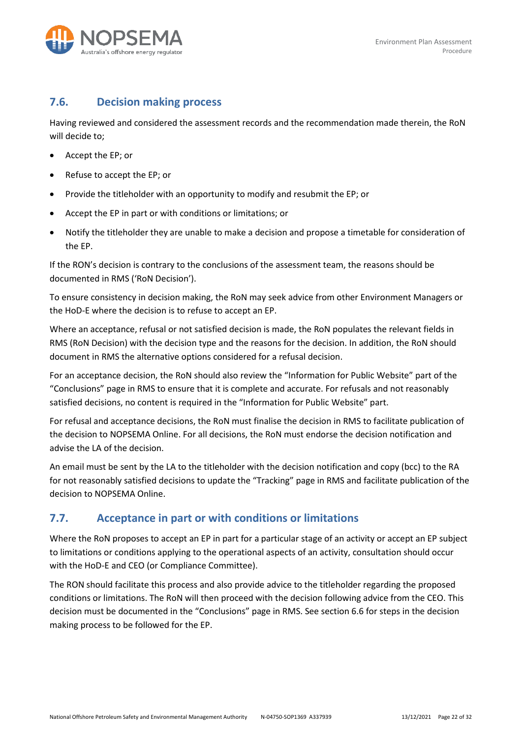

#### <span id="page-21-0"></span>**7.6. Decision making process**

Having reviewed and considered the assessment records and the recommendation made therein, the RoN will decide to;

- Accept the EP; or
- Refuse to accept the EP; or
- Provide the titleholder with an opportunity to modify and resubmit the EP; or
- Accept the EP in part or with conditions or limitations; or
- Notify the titleholder they are unable to make a decision and propose a timetable for consideration of the EP.

If the RON's decision is contrary to the conclusions of the assessment team, the reasons should be documented in RMS ('RoN Decision').

To ensure consistency in decision making, the RoN may seek advice from other Environment Managers or the HoD-E where the decision is to refuse to accept an EP.

Where an acceptance, refusal or not satisfied decision is made, the RoN populates the relevant fields in RMS (RoN Decision) with the decision type and the reasons for the decision. In addition, the RoN should document in RMS the alternative options considered for a refusal decision.

For an acceptance decision, the RoN should also review the "Information for Public Website" part of the "Conclusions" page in RMS to ensure that it is complete and accurate. For refusals and not reasonably satisfied decisions, no content is required in the "Information for Public Website" part.

For refusal and acceptance decisions, the RoN must finalise the decision in RMS to facilitate publication of the decision to NOPSEMA Online. For all decisions, the RoN must endorse the decision notification and advise the LA of the decision.

An email must be sent by the LA to the titleholder with the decision notification and copy (bcc) to the RA for not reasonably satisfied decisions to update the "Tracking" page in RMS and facilitate publication of the decision to NOPSEMA Online.

#### <span id="page-21-1"></span>**7.7. Acceptance in part or with conditions or limitations**

Where the RoN proposes to accept an EP in part for a particular stage of an activity or accept an EP subject to limitations or conditions applying to the operational aspects of an activity, consultation should occur with the HoD-E and CEO (or Compliance Committee).

The RON should facilitate this process and also provide advice to the titleholder regarding the proposed conditions or limitations. The RoN will then proceed with the decision following advice from the CEO. This decision must be documented in the "Conclusions" page in RMS. See section 6.6 for steps in the decision making process to be followed for the EP.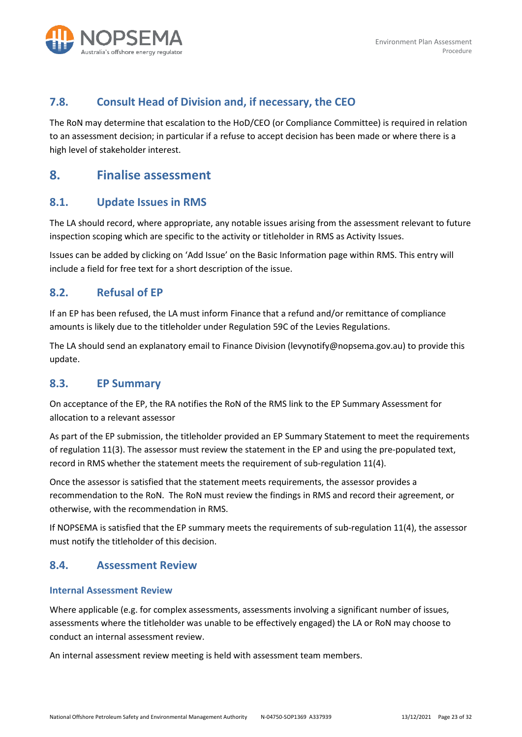

#### <span id="page-22-0"></span>**7.8. Consult Head of Division and, if necessary, the CEO**

The RoN may determine that escalation to the HoD/CEO (or Compliance Committee) is required in relation to an assessment decision; in particular if a refuse to accept decision has been made or where there is a high level of stakeholder interest.

### <span id="page-22-1"></span>**8. Finalise assessment**

#### <span id="page-22-2"></span>**8.1. Update Issues in RMS**

The LA should record, where appropriate, any notable issues arising from the assessment relevant to future inspection scoping which are specific to the activity or titleholder in RMS as Activity Issues.

Issues can be added by clicking on 'Add Issue' on the Basic Information page within RMS. This entry will include a field for free text for a short description of the issue.

#### <span id="page-22-3"></span>**8.2. Refusal of EP**

If an EP has been refused, the LA must inform Finance that a refund and/or remittance of compliance amounts is likely due to the titleholder under Regulation 59C of the Levies Regulations.

The LA should send an explanatory email to Finance Division (levynotify@nopsema.gov.au) to provide this update.

#### <span id="page-22-4"></span>**8.3. EP Summary**

On acceptance of the EP, the RA notifies the RoN of the RMS link to the EP Summary Assessment for allocation to a relevant assessor

As part of the EP submission, the titleholder provided an EP Summary Statement to meet the requirements of regulation 11(3). The assessor must review the statement in the EP and using the pre-populated text, record in RMS whether the statement meets the requirement of sub-regulation 11(4).

Once the assessor is satisfied that the statement meets requirements, the assessor provides a recommendation to the RoN. The RoN must review the findings in RMS and record their agreement, or otherwise, with the recommendation in RMS.

If NOPSEMA is satisfied that the EP summary meets the requirements of sub-regulation 11(4), the assessor must notify the titleholder of this decision.

#### <span id="page-22-5"></span>**8.4. Assessment Review**

#### <span id="page-22-6"></span>**Internal Assessment Review**

Where applicable (e.g. for complex assessments, assessments involving a significant number of issues, assessments where the titleholder was unable to be effectively engaged) the LA or RoN may choose to conduct an internal assessment review.

An internal assessment review meeting is held with assessment team members.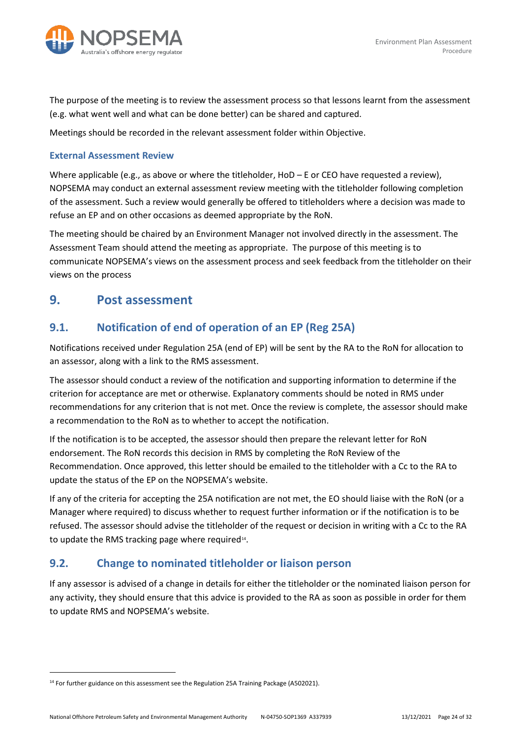

The purpose of the meeting is to review the assessment process so that lessons learnt from the assessment (e.g. what went well and what can be done better) can be shared and captured.

Meetings should be recorded in the relevant assessment folder within Objective.

#### <span id="page-23-0"></span>**External Assessment Review**

Where applicable (e.g., as above or where the titleholder, HoD – E or CEO have requested a review), NOPSEMA may conduct an external assessment review meeting with the titleholder following completion of the assessment. Such a review would generally be offered to titleholders where a decision was made to refuse an EP and on other occasions as deemed appropriate by the RoN.

The meeting should be chaired by an Environment Manager not involved directly in the assessment. The Assessment Team should attend the meeting as appropriate. The purpose of this meeting is to communicate NOPSEMA's views on the assessment process and seek feedback from the titleholder on their views on the process

#### <span id="page-23-1"></span>**9. Post assessment**

#### <span id="page-23-2"></span>**9.1. Notification of end of operation of an EP (Reg 25A)**

Notifications received under Regulation 25A (end of EP) will be sent by the RA to the RoN for allocation to an assessor, along with a link to the RMS assessment.

The assessor should conduct a review of the notification and supporting information to determine if the criterion for acceptance are met or otherwise. Explanatory comments should be noted in RMS under recommendations for any criterion that is not met. Once the review is complete, the assessor should make a recommendation to the RoN as to whether to accept the notification.

If the notification is to be accepted, the assessor should then prepare the relevant letter for RoN endorsement. The RoN records this decision in RMS by completing the RoN Review of the Recommendation. Once approved, this letter should be emailed to the titleholder with a Cc to the RA to update the status of the EP on the NOPSEMA's website.

If any of the criteria for accepting the 25A notification are not met, the EO should liaise with the RoN (or a Manager where required) to discuss whether to request further information or if the notification is to be refused. The assessor should advise the titleholder of the request or decision in writing with a Cc to the RA to update the RMS tracking page where required<sup>14</sup>.

#### <span id="page-23-3"></span>**9.2. Change to nominated titleholder or liaison person**

If any assessor is advised of a change in details for either the titleholder or the nominated liaison person for any activity, they should ensure that this advice is provided to the RA as soon as possible in order for them to update RMS and NOPSEMA's website.

<span id="page-23-4"></span><sup>&</sup>lt;sup>14</sup> For further guidance on this assessment see the Regulation 25A Training Package (A502021).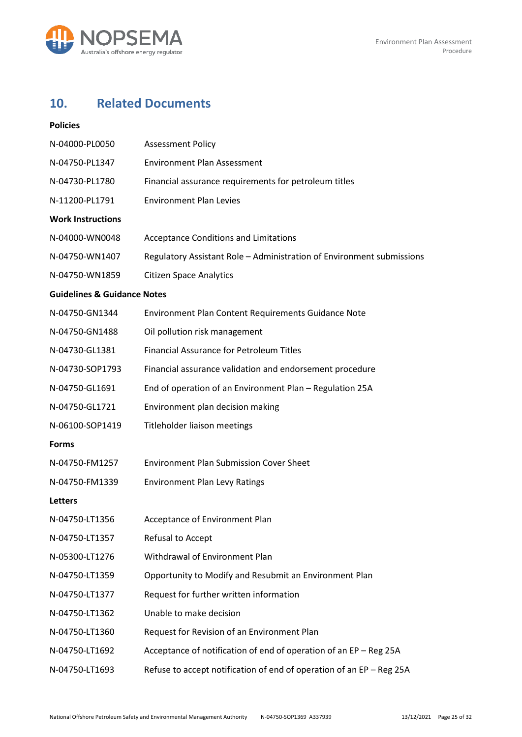

# <span id="page-24-0"></span>**10. Related Documents**

| <b>Policies</b>                        |                                                                       |
|----------------------------------------|-----------------------------------------------------------------------|
| N-04000-PL0050                         | <b>Assessment Policy</b>                                              |
| N-04750-PL1347                         | <b>Environment Plan Assessment</b>                                    |
| N-04730-PL1780                         | Financial assurance requirements for petroleum titles                 |
| N-11200-PL1791                         | <b>Environment Plan Levies</b>                                        |
| <b>Work Instructions</b>               |                                                                       |
| N-04000-WN0048                         | <b>Acceptance Conditions and Limitations</b>                          |
| N-04750-WN1407                         | Regulatory Assistant Role - Administration of Environment submissions |
| N-04750-WN1859                         | <b>Citizen Space Analytics</b>                                        |
| <b>Guidelines &amp; Guidance Notes</b> |                                                                       |
| N-04750-GN1344                         | Environment Plan Content Requirements Guidance Note                   |
| N-04750-GN1488                         | Oil pollution risk management                                         |
| N-04730-GL1381                         | <b>Financial Assurance for Petroleum Titles</b>                       |
| N-04730-SOP1793                        | Financial assurance validation and endorsement procedure              |
| N-04750-GL1691                         | End of operation of an Environment Plan - Regulation 25A              |
| N-04750-GL1721                         | Environment plan decision making                                      |
| N-06100-SOP1419                        | Titleholder liaison meetings                                          |
| <b>Forms</b>                           |                                                                       |
| N-04750-FM1257                         | <b>Environment Plan Submission Cover Sheet</b>                        |
| N-04750-FM1339                         | <b>Environment Plan Levy Ratings</b>                                  |
| Letters                                |                                                                       |
| N-04750-LT1356                         | Acceptance of Environment Plan                                        |
| N-04750-LT1357                         | Refusal to Accept                                                     |
| N-05300-LT1276                         | Withdrawal of Environment Plan                                        |
| N-04750-LT1359                         | Opportunity to Modify and Resubmit an Environment Plan                |
| N-04750-LT1377                         | Request for further written information                               |
| N-04750-LT1362                         | Unable to make decision                                               |
| N-04750-LT1360                         | Request for Revision of an Environment Plan                           |
| N-04750-LT1692                         | Acceptance of notification of end of operation of an EP - Reg 25A     |
| N-04750-LT1693                         | Refuse to accept notification of end of operation of an EP - Reg 25A  |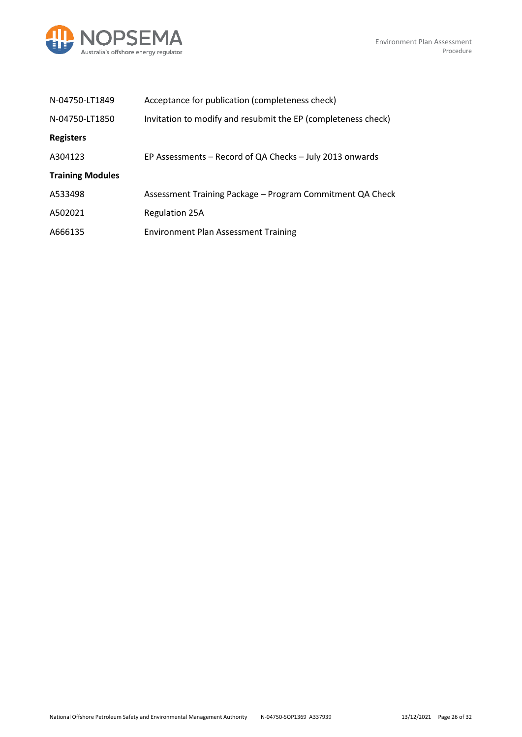

| N-04750-LT1849          | Acceptance for publication (completeness check)               |
|-------------------------|---------------------------------------------------------------|
| N-04750-LT1850          | Invitation to modify and resubmit the EP (completeness check) |
| <b>Registers</b>        |                                                               |
| A304123                 | EP Assessments – Record of QA Checks – July 2013 onwards      |
| <b>Training Modules</b> |                                                               |
| A533498                 | Assessment Training Package – Program Commitment QA Check     |
| A502021                 | <b>Regulation 25A</b>                                         |
| A666135                 | <b>Environment Plan Assessment Training</b>                   |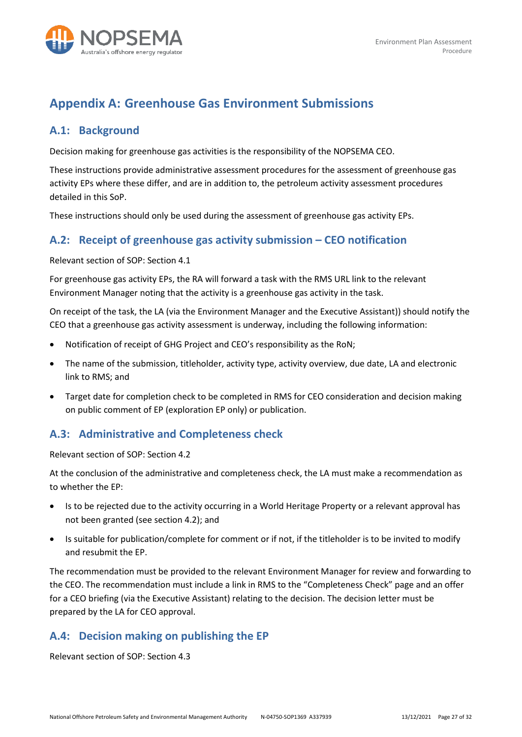

# <span id="page-26-0"></span>**Appendix A: Greenhouse Gas Environment Submissions**

#### <span id="page-26-1"></span>**A.1: Background**

Decision making for greenhouse gas activities is the responsibility of the NOPSEMA CEO.

These instructions provide administrative assessment procedures for the assessment of greenhouse gas activity EPs where these differ, and are in addition to, the petroleum activity assessment procedures detailed in this SoP.

These instructions should only be used during the assessment of greenhouse gas activity EPs.

#### <span id="page-26-2"></span>**A.2: Receipt of greenhouse gas activity submission – CEO notification**

Relevant section of SOP: Section 4.1

For greenhouse gas activity EPs, the RA will forward a task with the RMS URL link to the relevant Environment Manager noting that the activity is a greenhouse gas activity in the task.

On receipt of the task, the LA (via the Environment Manager and the Executive Assistant)) should notify the CEO that a greenhouse gas activity assessment is underway, including the following information:

- Notification of receipt of GHG Project and CEO's responsibility as the RoN;
- The name of the submission, titleholder, activity type, activity overview, due date, LA and electronic link to RMS; and
- Target date for completion check to be completed in RMS for CEO consideration and decision making on public comment of EP (exploration EP only) or publication.

#### <span id="page-26-3"></span>**A.3: Administrative and Completeness check**

Relevant section of SOP: Section 4.2

At the conclusion of the administrative and completeness check, the LA must make a recommendation as to whether the EP:

- Is to be rejected due to the activity occurring in a World Heritage Property or a relevant approval has not been granted (see section 4.2); and
- Is suitable for publication/complete for comment or if not, if the titleholder is to be invited to modify and resubmit the EP.

The recommendation must be provided to the relevant Environment Manager for review and forwarding to the CEO. The recommendation must include a link in RMS to the "Completeness Check" page and an offer for a CEO briefing (via the Executive Assistant) relating to the decision. The decision letter must be prepared by the LA for CEO approval.

#### <span id="page-26-4"></span>**A.4: Decision making on publishing the EP**

Relevant section of SOP: Section 4.3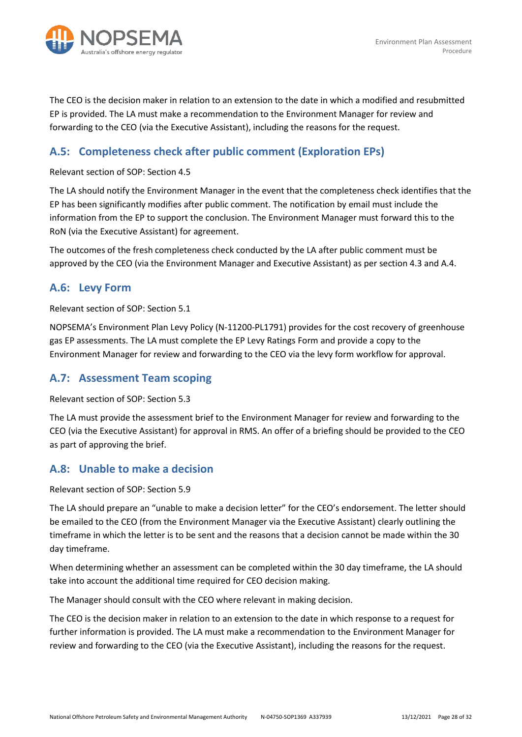

The CEO is the decision maker in relation to an extension to the date in which a modified and resubmitted EP is provided. The LA must make a recommendation to the Environment Manager for review and forwarding to the CEO (via the Executive Assistant), including the reasons for the request.

### <span id="page-27-0"></span>**A.5: Completeness check after public comment (Exploration EPs)**

Relevant section of SOP: Section 4.5

The LA should notify the Environment Manager in the event that the completeness check identifies that the EP has been significantly modifies after public comment. The notification by email must include the information from the EP to support the conclusion. The Environment Manager must forward this to the RoN (via the Executive Assistant) for agreement.

The outcomes of the fresh completeness check conducted by the LA after public comment must be approved by the CEO (via the Environment Manager and Executive Assistant) as per section 4.3 and A.4.

#### <span id="page-27-1"></span>**A.6: Levy Form**

Relevant section of SOP: Section 5.1

NOPSEMA's Environment Plan Levy Policy (N-11200-PL1791) provides for the cost recovery of greenhouse gas EP assessments. The LA must complete the EP Levy Ratings Form and provide a copy to the Environment Manager for review and forwarding to the CEO via the levy form workflow for approval.

#### <span id="page-27-2"></span>**A.7: Assessment Team scoping**

Relevant section of SOP: Section 5.3

The LA must provide the assessment brief to the Environment Manager for review and forwarding to the CEO (via the Executive Assistant) for approval in RMS. An offer of a briefing should be provided to the CEO as part of approving the brief.

#### <span id="page-27-3"></span>**A.8: Unable to make a decision**

Relevant section of SOP: Section 5.9

The LA should prepare an "unable to make a decision letter" for the CEO's endorsement. The letter should be emailed to the CEO (from the Environment Manager via the Executive Assistant) clearly outlining the timeframe in which the letter is to be sent and the reasons that a decision cannot be made within the 30 day timeframe.

When determining whether an assessment can be completed within the 30 day timeframe, the LA should take into account the additional time required for CEO decision making.

The Manager should consult with the CEO where relevant in making decision.

The CEO is the decision maker in relation to an extension to the date in which response to a request for further information is provided. The LA must make a recommendation to the Environment Manager for review and forwarding to the CEO (via the Executive Assistant), including the reasons for the request.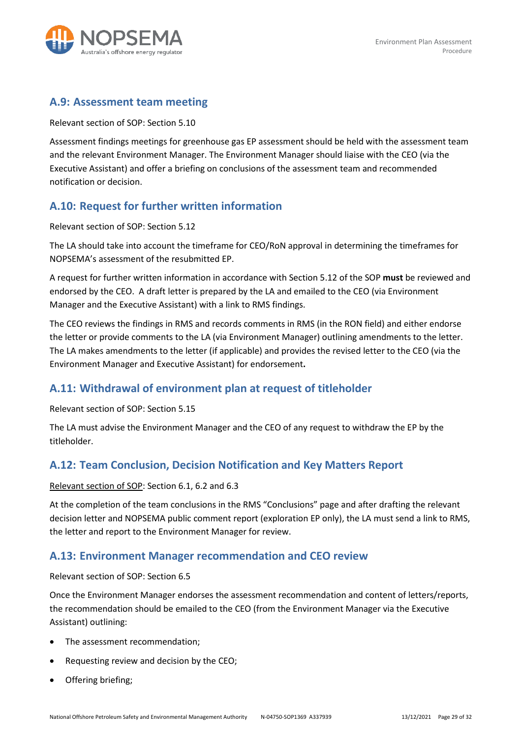

#### <span id="page-28-0"></span>**A.9: Assessment team meeting**

Relevant section of SOP: Section 5.10

Assessment findings meetings for greenhouse gas EP assessment should be held with the assessment team and the relevant Environment Manager. The Environment Manager should liaise with the CEO (via the Executive Assistant) and offer a briefing on conclusions of the assessment team and recommended notification or decision.

### <span id="page-28-1"></span>**A.10: Request for further written information**

Relevant section of SOP: Section 5.12

The LA should take into account the timeframe for CEO/RoN approval in determining the timeframes for NOPSEMA's assessment of the resubmitted EP.

A request for further written information in accordance with Section 5.12 of the SOP **must** be reviewed and endorsed by the CEO. A draft letter is prepared by the LA and emailed to the CEO (via Environment Manager and the Executive Assistant) with a link to RMS findings.

The CEO reviews the findings in RMS and records comments in RMS (in the RON field) and either endorse the letter or provide comments to the LA (via Environment Manager) outlining amendments to the letter. The LA makes amendments to the letter (if applicable) and provides the revised letter to the CEO (via the Environment Manager and Executive Assistant) for endorsement**.** 

#### <span id="page-28-2"></span>**A.11: Withdrawal of environment plan at request of titleholder**

Relevant section of SOP: Section 5.15

The LA must advise the Environment Manager and the CEO of any request to withdraw the EP by the titleholder.

### <span id="page-28-3"></span>**A.12: Team Conclusion, Decision Notification and Key Matters Report**

#### Relevant section of SOP: Section 6.1, 6.2 and 6.3

At the completion of the team conclusions in the RMS "Conclusions" page and after drafting the relevant decision letter and NOPSEMA public comment report (exploration EP only), the LA must send a link to RMS, the letter and report to the Environment Manager for review.

#### <span id="page-28-4"></span>**A.13: Environment Manager recommendation and CEO review**

#### Relevant section of SOP: Section 6.5

Once the Environment Manager endorses the assessment recommendation and content of letters/reports, the recommendation should be emailed to the CEO (from the Environment Manager via the Executive Assistant) outlining:

- The assessment recommendation;
- Requesting review and decision by the CEO;
- Offering briefing;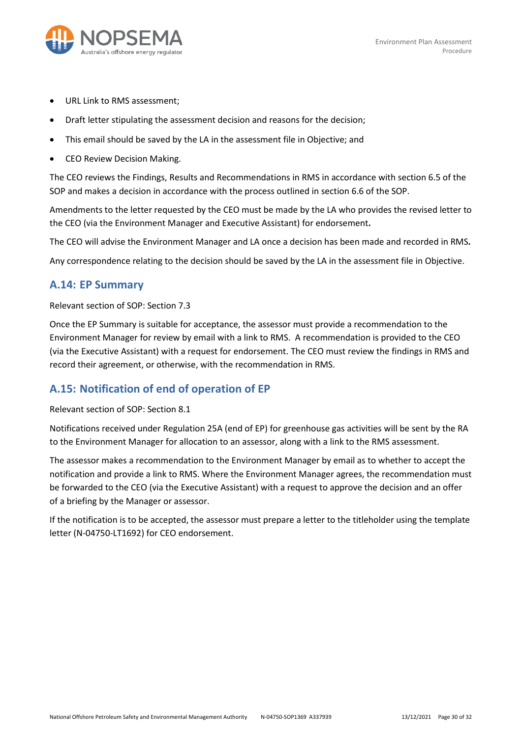

- URL Link to RMS assessment;
- Draft letter stipulating the assessment decision and reasons for the decision;
- This email should be saved by the LA in the assessment file in Objective; and
- CEO Review Decision Making.

The CEO reviews the Findings, Results and Recommendations in RMS in accordance with section 6.5 of the SOP and makes a decision in accordance with the process outlined in section 6.6 of the SOP.

Amendments to the letter requested by the CEO must be made by the LA who provides the revised letter to the CEO (via the Environment Manager and Executive Assistant) for endorsement**.**

The CEO will advise the Environment Manager and LA once a decision has been made and recorded in RMS**.**

Any correspondence relating to the decision should be saved by the LA in the assessment file in Objective.

#### <span id="page-29-0"></span>**A.14: EP Summary**

#### Relevant section of SOP: Section 7.3

Once the EP Summary is suitable for acceptance, the assessor must provide a recommendation to the Environment Manager for review by email with a link to RMS. A recommendation is provided to the CEO (via the Executive Assistant) with a request for endorsement. The CEO must review the findings in RMS and record their agreement, or otherwise, with the recommendation in RMS.

#### <span id="page-29-1"></span>**A.15: Notification of end of operation of EP**

Relevant section of SOP: Section 8.1

Notifications received under Regulation 25A (end of EP) for greenhouse gas activities will be sent by the RA to the Environment Manager for allocation to an assessor, along with a link to the RMS assessment.

The assessor makes a recommendation to the Environment Manager by email as to whether to accept the notification and provide a link to RMS. Where the Environment Manager agrees, the recommendation must be forwarded to the CEO (via the Executive Assistant) with a request to approve the decision and an offer of a briefing by the Manager or assessor.

If the notification is to be accepted, the assessor must prepare a letter to the titleholder using the template letter (N-04750-LT1692) for CEO endorsement.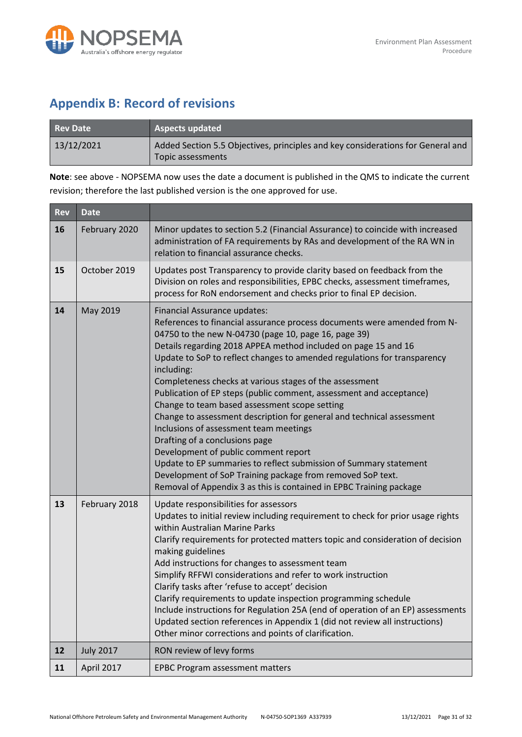

# <span id="page-30-0"></span>**Appendix B: Record of revisions**

| Rev Date   | <b>Aspects updated</b>                                                                               |
|------------|------------------------------------------------------------------------------------------------------|
| 13/12/2021 | Added Section 5.5 Objectives, principles and key considerations for General and<br>Topic assessments |

**Note**: see above - NOPSEMA now uses the date a document is published in the QMS to indicate the current revision; therefore the last published version is the one approved for use.

| <b>Rev</b> | <b>Date</b>      |                                                                                                                                                                                                                                                                                                                                                                                                                                                                                                                                                                                                                                                                                                                                                                                                                                                                                                                        |
|------------|------------------|------------------------------------------------------------------------------------------------------------------------------------------------------------------------------------------------------------------------------------------------------------------------------------------------------------------------------------------------------------------------------------------------------------------------------------------------------------------------------------------------------------------------------------------------------------------------------------------------------------------------------------------------------------------------------------------------------------------------------------------------------------------------------------------------------------------------------------------------------------------------------------------------------------------------|
| 16         | February 2020    | Minor updates to section 5.2 (Financial Assurance) to coincide with increased<br>administration of FA requirements by RAs and development of the RA WN in<br>relation to financial assurance checks.                                                                                                                                                                                                                                                                                                                                                                                                                                                                                                                                                                                                                                                                                                                   |
| 15         | October 2019     | Updates post Transparency to provide clarity based on feedback from the<br>Division on roles and responsibilities, EPBC checks, assessment timeframes,<br>process for RoN endorsement and checks prior to final EP decision.                                                                                                                                                                                                                                                                                                                                                                                                                                                                                                                                                                                                                                                                                           |
| 14         | May 2019         | Financial Assurance updates:<br>References to financial assurance process documents were amended from N-<br>04750 to the new N-04730 (page 10, page 16, page 39)<br>Details regarding 2018 APPEA method included on page 15 and 16<br>Update to SoP to reflect changes to amended regulations for transparency<br>including:<br>Completeness checks at various stages of the assessment<br>Publication of EP steps (public comment, assessment and acceptance)<br>Change to team based assessment scope setting<br>Change to assessment description for general and technical assessment<br>Inclusions of assessment team meetings<br>Drafting of a conclusions page<br>Development of public comment report<br>Update to EP summaries to reflect submission of Summary statement<br>Development of SoP Training package from removed SoP text.<br>Removal of Appendix 3 as this is contained in EPBC Training package |
| 13         | February 2018    | Update responsibilities for assessors<br>Updates to initial review including requirement to check for prior usage rights<br>within Australian Marine Parks<br>Clarify requirements for protected matters topic and consideration of decision<br>making guidelines<br>Add instructions for changes to assessment team<br>Simplify RFFWI considerations and refer to work instruction<br>Clarify tasks after 'refuse to accept' decision<br>Clarify requirements to update inspection programming schedule<br>Include instructions for Regulation 25A (end of operation of an EP) assessments<br>Updated section references in Appendix 1 (did not review all instructions)<br>Other minor corrections and points of clarification.                                                                                                                                                                                      |
| 12         | <b>July 2017</b> | RON review of levy forms                                                                                                                                                                                                                                                                                                                                                                                                                                                                                                                                                                                                                                                                                                                                                                                                                                                                                               |
| 11         | April 2017       | <b>EPBC Program assessment matters</b>                                                                                                                                                                                                                                                                                                                                                                                                                                                                                                                                                                                                                                                                                                                                                                                                                                                                                 |